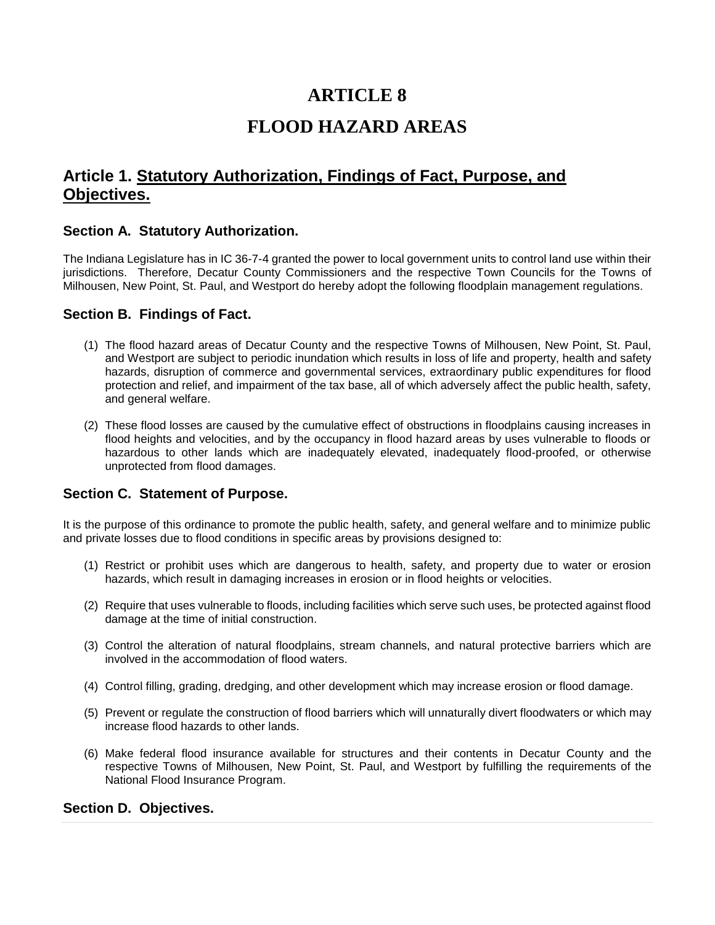# **ARTICLE 8**

# **FLOOD HAZARD AREAS**

# **Article 1. Statutory Authorization, Findings of Fact, Purpose, and Objectives.**

#### **Section A. Statutory Authorization.**

The Indiana Legislature has in IC 36-7-4 granted the power to local government units to control land use within their jurisdictions. Therefore, Decatur County Commissioners and the respective Town Councils for the Towns of Milhousen, New Point, St. Paul, and Westport do hereby adopt the following floodplain management regulations.

#### **Section B. Findings of Fact.**

- (1) The flood hazard areas of Decatur County and the respective Towns of Milhousen, New Point, St. Paul, and Westport are subject to periodic inundation which results in loss of life and property, health and safety hazards, disruption of commerce and governmental services, extraordinary public expenditures for flood protection and relief, and impairment of the tax base, all of which adversely affect the public health, safety, and general welfare.
- (2) These flood losses are caused by the cumulative effect of obstructions in floodplains causing increases in flood heights and velocities, and by the occupancy in flood hazard areas by uses vulnerable to floods or hazardous to other lands which are inadequately elevated, inadequately flood-proofed, or otherwise unprotected from flood damages.

### **Section C. Statement of Purpose.**

It is the purpose of this ordinance to promote the public health, safety, and general welfare and to minimize public and private losses due to flood conditions in specific areas by provisions designed to:

- (1) Restrict or prohibit uses which are dangerous to health, safety, and property due to water or erosion hazards, which result in damaging increases in erosion or in flood heights or velocities.
- (2) Require that uses vulnerable to floods, including facilities which serve such uses, be protected against flood damage at the time of initial construction.
- (3) Control the alteration of natural floodplains, stream channels, and natural protective barriers which are involved in the accommodation of flood waters.
- (4) Control filling, grading, dredging, and other development which may increase erosion or flood damage.
- (5) Prevent or regulate the construction of flood barriers which will unnaturally divert floodwaters or which may increase flood hazards to other lands.
- (6) Make federal flood insurance available for structures and their contents in Decatur County and the respective Towns of Milhousen, New Point, St. Paul, and Westport by fulfilling the requirements of the National Flood Insurance Program.

### **Section D. Objectives.**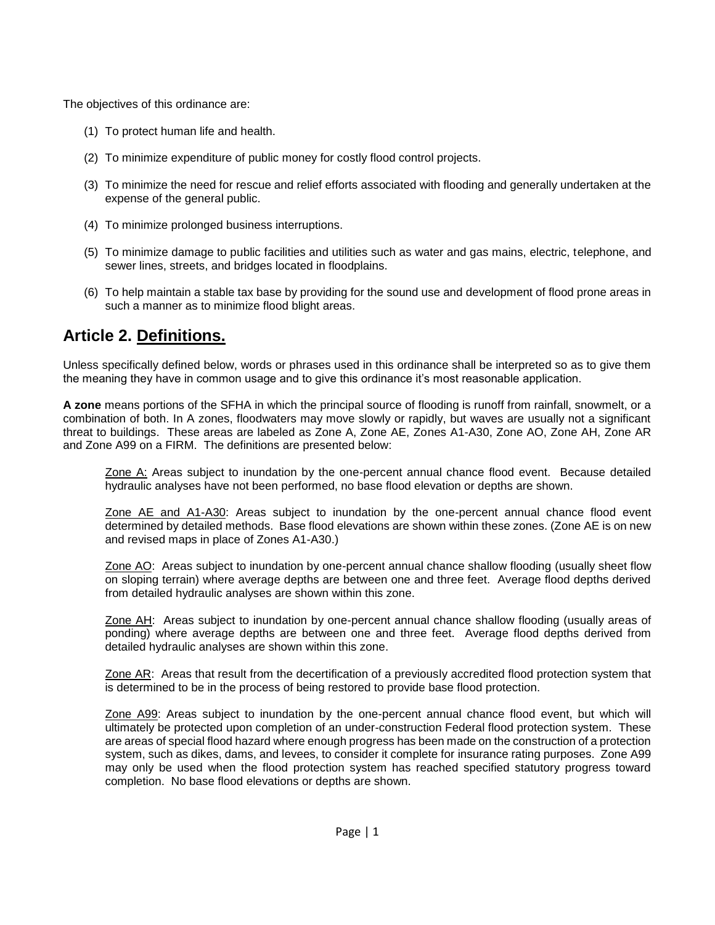The objectives of this ordinance are:

- (1) To protect human life and health.
- (2) To minimize expenditure of public money for costly flood control projects.
- (3) To minimize the need for rescue and relief efforts associated with flooding and generally undertaken at the expense of the general public.
- (4) To minimize prolonged business interruptions.
- (5) To minimize damage to public facilities and utilities such as water and gas mains, electric, telephone, and sewer lines, streets, and bridges located in floodplains.
- (6) To help maintain a stable tax base by providing for the sound use and development of flood prone areas in such a manner as to minimize flood blight areas.

# **Article 2. Definitions.**

Unless specifically defined below, words or phrases used in this ordinance shall be interpreted so as to give them the meaning they have in common usage and to give this ordinance it's most reasonable application.

**A zone** means portions of the SFHA in which the principal source of flooding is runoff from rainfall, snowmelt, or a combination of both. In A zones, floodwaters may move slowly or rapidly, but waves are usually not a significant threat to buildings. These areas are labeled as Zone A, Zone AE, Zones A1-A30, Zone AO, Zone AH, Zone AR and Zone A99 on a FIRM. The definitions are presented below:

Zone A: Areas subject to inundation by the one-percent annual chance flood event. Because detailed hydraulic analyses have not been performed, no base flood elevation or depths are shown.

Zone AE and A1-A30: Areas subject to inundation by the one-percent annual chance flood event determined by detailed methods. Base flood elevations are shown within these zones. (Zone AE is on new and revised maps in place of Zones A1-A30.)

Zone AO: Areas subject to inundation by one-percent annual chance shallow flooding (usually sheet flow on sloping terrain) where average depths are between one and three feet. Average flood depths derived from detailed hydraulic analyses are shown within this zone.

Zone AH: Areas subject to inundation by one-percent annual chance shallow flooding (usually areas of ponding) where average depths are between one and three feet. Average flood depths derived from detailed hydraulic analyses are shown within this zone.

Zone AR: Areas that result from the decertification of a previously accredited flood protection system that is determined to be in the process of being restored to provide base flood protection.

Zone A99: Areas subject to inundation by the one-percent annual chance flood event, but which will ultimately be protected upon completion of an under-construction Federal flood protection system. These are areas of special flood hazard where enough progress has been made on the construction of a protection system, such as dikes, dams, and levees, to consider it complete for insurance rating purposes. Zone A99 may only be used when the flood protection system has reached specified statutory progress toward completion. No base flood elevations or depths are shown.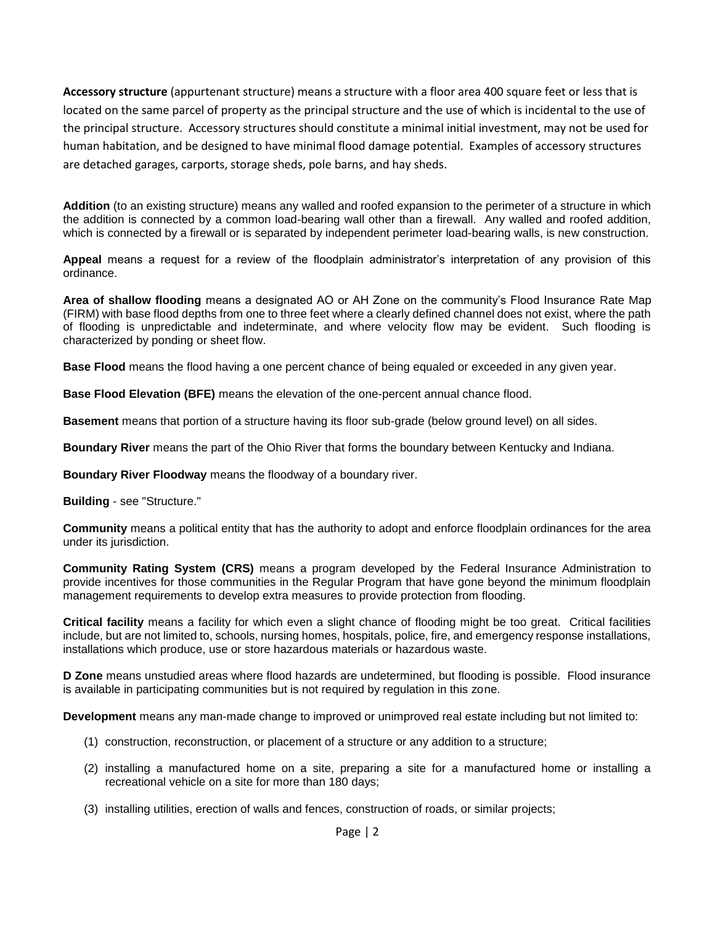**Accessory structure** (appurtenant structure) means a structure with a floor area 400 square feet or less that is located on the same parcel of property as the principal structure and the use of which is incidental to the use of the principal structure. Accessory structures should constitute a minimal initial investment, may not be used for human habitation, and be designed to have minimal flood damage potential. Examples of accessory structures are detached garages, carports, storage sheds, pole barns, and hay sheds.

**Addition** (to an existing structure) means any walled and roofed expansion to the perimeter of a structure in which the addition is connected by a common load-bearing wall other than a firewall. Any walled and roofed addition, which is connected by a firewall or is separated by independent perimeter load-bearing walls, is new construction.

**Appeal** means a request for a review of the floodplain administrator's interpretation of any provision of this ordinance.

**Area of shallow flooding** means a designated AO or AH Zone on the community's Flood Insurance Rate Map (FIRM) with base flood depths from one to three feet where a clearly defined channel does not exist, where the path of flooding is unpredictable and indeterminate, and where velocity flow may be evident. Such flooding is characterized by ponding or sheet flow.

**Base Flood** means the flood having a one percent chance of being equaled or exceeded in any given year.

**Base Flood Elevation (BFE)** means the elevation of the one-percent annual chance flood.

**Basement** means that portion of a structure having its floor sub-grade (below ground level) on all sides.

**Boundary River** means the part of the Ohio River that forms the boundary between Kentucky and Indiana.

**Boundary River Floodway** means the floodway of a boundary river.

**Building** - see "Structure."

**Community** means a political entity that has the authority to adopt and enforce floodplain ordinances for the area under its jurisdiction.

**Community Rating System (CRS)** means a program developed by the Federal Insurance Administration to provide incentives for those communities in the Regular Program that have gone beyond the minimum floodplain management requirements to develop extra measures to provide protection from flooding.

**Critical facility** means a facility for which even a slight chance of flooding might be too great. Critical facilities include, but are not limited to, schools, nursing homes, hospitals, police, fire, and emergency response installations, installations which produce, use or store hazardous materials or hazardous waste.

**D Zone** means unstudied areas where flood hazards are undetermined, but flooding is possible. Flood insurance is available in participating communities but is not required by regulation in this zone.

**Development** means any man-made change to improved or unimproved real estate including but not limited to:

- (1) construction, reconstruction, or placement of a structure or any addition to a structure;
- (2) installing a manufactured home on a site, preparing a site for a manufactured home or installing a recreational vehicle on a site for more than 180 days;
- (3) installing utilities, erection of walls and fences, construction of roads, or similar projects;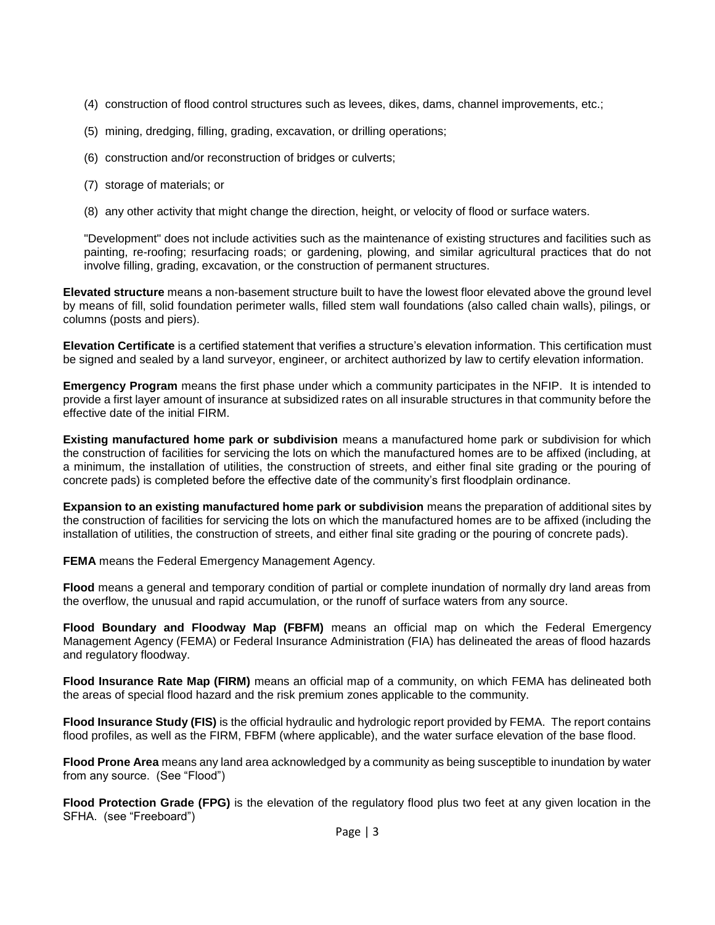- (4) construction of flood control structures such as levees, dikes, dams, channel improvements, etc.;
- (5) mining, dredging, filling, grading, excavation, or drilling operations;
- (6) construction and/or reconstruction of bridges or culverts;
- (7) storage of materials; or
- (8) any other activity that might change the direction, height, or velocity of flood or surface waters.

"Development" does not include activities such as the maintenance of existing structures and facilities such as painting, re-roofing; resurfacing roads; or gardening, plowing, and similar agricultural practices that do not involve filling, grading, excavation, or the construction of permanent structures.

**Elevated structure** means a non-basement structure built to have the lowest floor elevated above the ground level by means of fill, solid foundation perimeter walls, filled stem wall foundations (also called chain walls), pilings, or columns (posts and piers).

**Elevation Certificate** is a certified statement that verifies a structure's elevation information. This certification must be signed and sealed by a land surveyor, engineer, or architect authorized by law to certify elevation information.

**Emergency Program** means the first phase under which a community participates in the NFIP. It is intended to provide a first layer amount of insurance at subsidized rates on all insurable structures in that community before the effective date of the initial FIRM.

**Existing manufactured home park or subdivision** means a manufactured home park or subdivision for which the construction of facilities for servicing the lots on which the manufactured homes are to be affixed (including, at a minimum, the installation of utilities, the construction of streets, and either final site grading or the pouring of concrete pads) is completed before the effective date of the community's first floodplain ordinance.

**Expansion to an existing manufactured home park or subdivision** means the preparation of additional sites by the construction of facilities for servicing the lots on which the manufactured homes are to be affixed (including the installation of utilities, the construction of streets, and either final site grading or the pouring of concrete pads).

**FEMA** means the Federal Emergency Management Agency.

**Flood** means a general and temporary condition of partial or complete inundation of normally dry land areas from the overflow, the unusual and rapid accumulation, or the runoff of surface waters from any source.

**Flood Boundary and Floodway Map (FBFM)** means an official map on which the Federal Emergency Management Agency (FEMA) or Federal Insurance Administration (FIA) has delineated the areas of flood hazards and regulatory floodway.

**Flood Insurance Rate Map (FIRM)** means an official map of a community, on which FEMA has delineated both the areas of special flood hazard and the risk premium zones applicable to the community.

**Flood Insurance Study (FIS)** is the official hydraulic and hydrologic report provided by FEMA. The report contains flood profiles, as well as the FIRM, FBFM (where applicable), and the water surface elevation of the base flood.

**Flood Prone Area** means any land area acknowledged by a community as being susceptible to inundation by water from any source. (See "Flood")

**Flood Protection Grade (FPG)** is the elevation of the regulatory flood plus two feet at any given location in the SFHA. (see "Freeboard")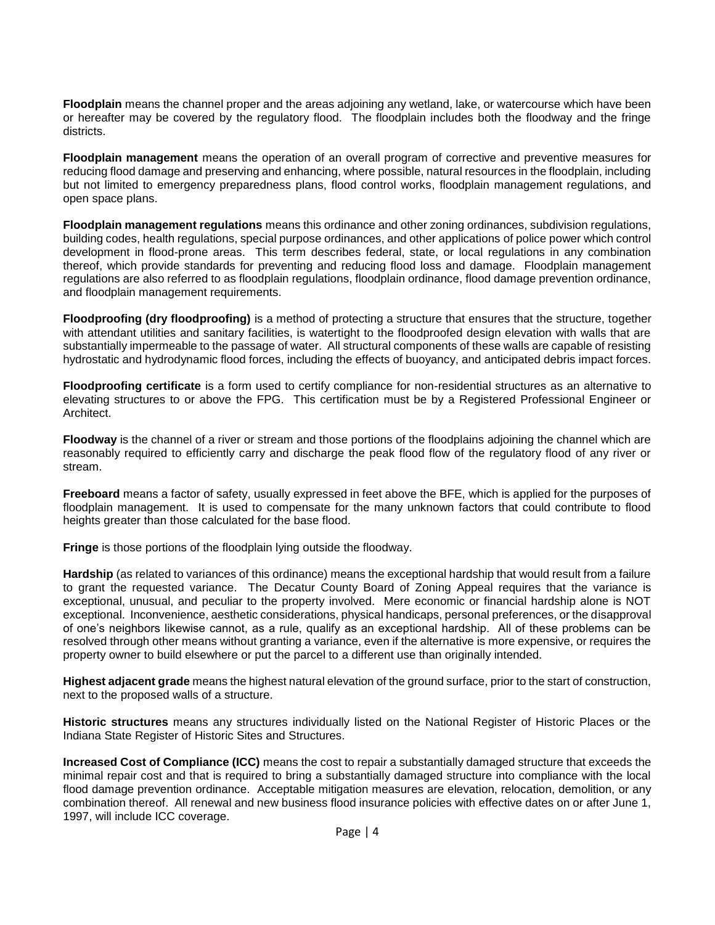**Floodplain** means the channel proper and the areas adjoining any wetland, lake, or watercourse which have been or hereafter may be covered by the regulatory flood. The floodplain includes both the floodway and the fringe districts.

**Floodplain management** means the operation of an overall program of corrective and preventive measures for reducing flood damage and preserving and enhancing, where possible, natural resources in the floodplain, including but not limited to emergency preparedness plans, flood control works, floodplain management regulations, and open space plans.

**Floodplain management regulations** means this ordinance and other zoning ordinances, subdivision regulations, building codes, health regulations, special purpose ordinances, and other applications of police power which control development in flood-prone areas. This term describes federal, state, or local regulations in any combination thereof, which provide standards for preventing and reducing flood loss and damage. Floodplain management regulations are also referred to as floodplain regulations, floodplain ordinance, flood damage prevention ordinance, and floodplain management requirements.

**Floodproofing (dry floodproofing)** is a method of protecting a structure that ensures that the structure, together with attendant utilities and sanitary facilities, is watertight to the floodproofed design elevation with walls that are substantially impermeable to the passage of water. All structural components of these walls are capable of resisting hydrostatic and hydrodynamic flood forces, including the effects of buoyancy, and anticipated debris impact forces.

**Floodproofing certificate** is a form used to certify compliance for non-residential structures as an alternative to elevating structures to or above the FPG. This certification must be by a Registered Professional Engineer or Architect.

**Floodway** is the channel of a river or stream and those portions of the floodplains adjoining the channel which are reasonably required to efficiently carry and discharge the peak flood flow of the regulatory flood of any river or stream.

**Freeboard** means a factor of safety, usually expressed in feet above the BFE, which is applied for the purposes of floodplain management. It is used to compensate for the many unknown factors that could contribute to flood heights greater than those calculated for the base flood.

**Fringe** is those portions of the floodplain lying outside the floodway.

**Hardship** (as related to variances of this ordinance) means the exceptional hardship that would result from a failure to grant the requested variance. The Decatur County Board of Zoning Appeal requires that the variance is exceptional, unusual, and peculiar to the property involved. Mere economic or financial hardship alone is NOT exceptional. Inconvenience, aesthetic considerations, physical handicaps, personal preferences, or the disapproval of one's neighbors likewise cannot, as a rule, qualify as an exceptional hardship. All of these problems can be resolved through other means without granting a variance, even if the alternative is more expensive, or requires the property owner to build elsewhere or put the parcel to a different use than originally intended.

**Highest adjacent grade** means the highest natural elevation of the ground surface, prior to the start of construction, next to the proposed walls of a structure.

**Historic structures** means any structures individually listed on the National Register of Historic Places or the Indiana State Register of Historic Sites and Structures.

**Increased Cost of Compliance (ICC)** means the cost to repair a substantially damaged structure that exceeds the minimal repair cost and that is required to bring a substantially damaged structure into compliance with the local flood damage prevention ordinance. Acceptable mitigation measures are elevation, relocation, demolition, or any combination thereof. All renewal and new business flood insurance policies with effective dates on or after June 1, 1997, will include ICC coverage.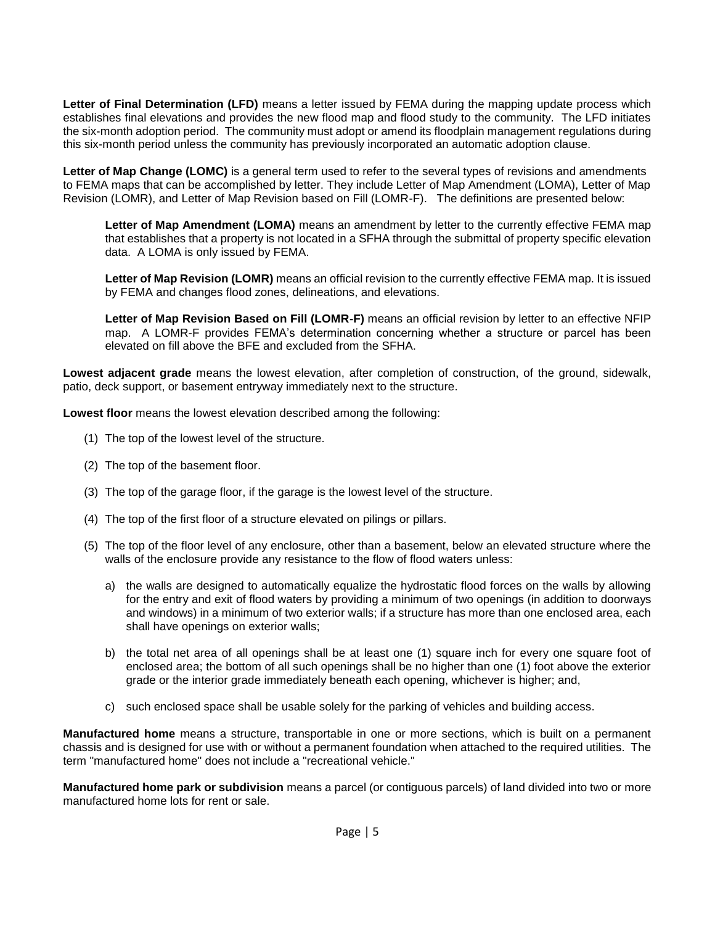**Letter of Final Determination (LFD)** means a letter issued by FEMA during the mapping update process which establishes final elevations and provides the new flood map and flood study to the community. The LFD initiates the six-month adoption period. The community must adopt or amend its floodplain management regulations during this six-month period unless the community has previously incorporated an automatic adoption clause.

**Letter of Map Change (LOMC)** is a general term used to refer to the several types of revisions and amendments to FEMA maps that can be accomplished by letter. They include Letter of Map Amendment (LOMA), Letter of Map Revision (LOMR), and Letter of Map Revision based on Fill (LOMR-F). The definitions are presented below:

Letter of Map Amendment (LOMA) means an amendment by letter to the currently effective FEMA map that establishes that a property is not located in a SFHA through the submittal of property specific elevation data. A LOMA is only issued by FEMA.

Letter of Map Revision (LOMR) means an official revision to the currently effective FEMA map. It is issued by FEMA and changes flood zones, delineations, and elevations.

**Letter of Map Revision Based on Fill (LOMR-F)** means an official revision by letter to an effective NFIP map. A LOMR-F provides FEMA's determination concerning whether a structure or parcel has been elevated on fill above the BFE and excluded from the SFHA.

**Lowest adjacent grade** means the lowest elevation, after completion of construction, of the ground, sidewalk, patio, deck support, or basement entryway immediately next to the structure.

**Lowest floor** means the lowest elevation described among the following:

- (1) The top of the lowest level of the structure.
- (2) The top of the basement floor.
- (3) The top of the garage floor, if the garage is the lowest level of the structure.
- (4) The top of the first floor of a structure elevated on pilings or pillars.
- (5) The top of the floor level of any enclosure, other than a basement, below an elevated structure where the walls of the enclosure provide any resistance to the flow of flood waters unless:
	- a) the walls are designed to automatically equalize the hydrostatic flood forces on the walls by allowing for the entry and exit of flood waters by providing a minimum of two openings (in addition to doorways and windows) in a minimum of two exterior walls; if a structure has more than one enclosed area, each shall have openings on exterior walls;
	- b) the total net area of all openings shall be at least one (1) square inch for every one square foot of enclosed area; the bottom of all such openings shall be no higher than one (1) foot above the exterior grade or the interior grade immediately beneath each opening, whichever is higher; and,
	- c) such enclosed space shall be usable solely for the parking of vehicles and building access.

**Manufactured home** means a structure, transportable in one or more sections, which is built on a permanent chassis and is designed for use with or without a permanent foundation when attached to the required utilities. The term "manufactured home" does not include a "recreational vehicle."

**Manufactured home park or subdivision** means a parcel (or contiguous parcels) of land divided into two or more manufactured home lots for rent or sale.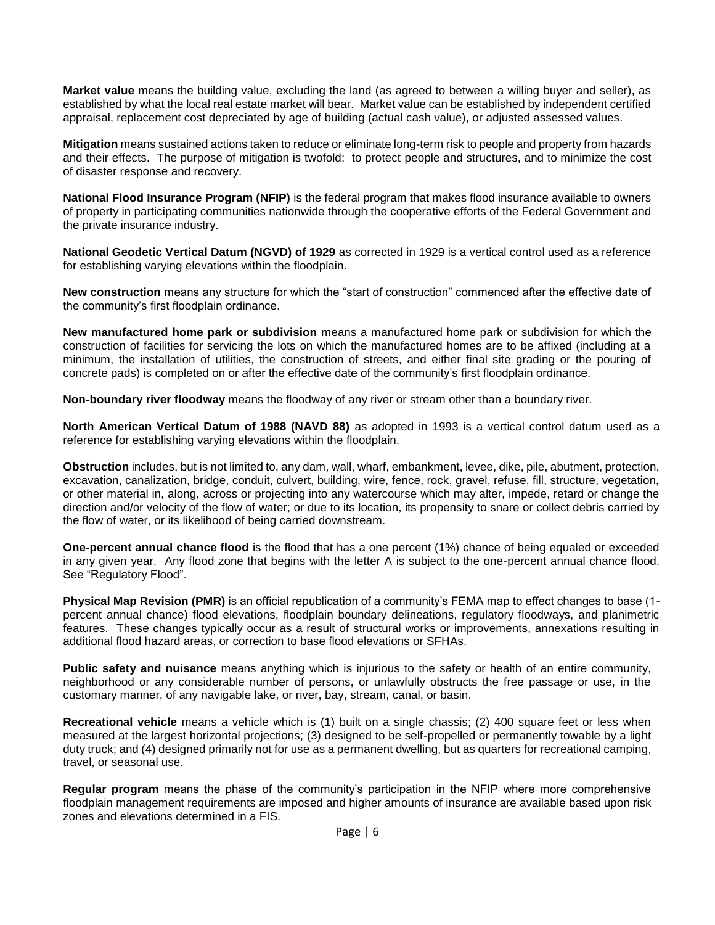**Market value** means the building value, excluding the land (as agreed to between a willing buyer and seller), as established by what the local real estate market will bear. Market value can be established by independent certified appraisal, replacement cost depreciated by age of building (actual cash value), or adjusted assessed values.

**Mitigation** means sustained actions taken to reduce or eliminate long-term risk to people and property from hazards and their effects. The purpose of mitigation is twofold: to protect people and structures, and to minimize the cost of disaster response and recovery.

**National Flood Insurance Program (NFIP)** is the federal program that makes flood insurance available to owners of property in participating communities nationwide through the cooperative efforts of the Federal Government and the private insurance industry.

**National Geodetic Vertical Datum (NGVD) of 1929** as corrected in 1929 is a vertical control used as a reference for establishing varying elevations within the floodplain.

**New construction** means any structure for which the "start of construction" commenced after the effective date of the community's first floodplain ordinance.

**New manufactured home park or subdivision** means a manufactured home park or subdivision for which the construction of facilities for servicing the lots on which the manufactured homes are to be affixed (including at a minimum, the installation of utilities, the construction of streets, and either final site grading or the pouring of concrete pads) is completed on or after the effective date of the community's first floodplain ordinance.

**Non-boundary river floodway** means the floodway of any river or stream other than a boundary river.

**North American Vertical Datum of 1988 (NAVD 88)** as adopted in 1993 is a vertical control datum used as a reference for establishing varying elevations within the floodplain.

**Obstruction** includes, but is not limited to, any dam, wall, wharf, embankment, levee, dike, pile, abutment, protection, excavation, canalization, bridge, conduit, culvert, building, wire, fence, rock, gravel, refuse, fill, structure, vegetation, or other material in, along, across or projecting into any watercourse which may alter, impede, retard or change the direction and/or velocity of the flow of water; or due to its location, its propensity to snare or collect debris carried by the flow of water, or its likelihood of being carried downstream.

**One-percent annual chance flood** is the flood that has a one percent (1%) chance of being equaled or exceeded in any given year. Any flood zone that begins with the letter A is subject to the one-percent annual chance flood. See "Regulatory Flood".

**Physical Map Revision (PMR)** is an official republication of a community's FEMA map to effect changes to base (1 percent annual chance) flood elevations, floodplain boundary delineations, regulatory floodways, and planimetric features. These changes typically occur as a result of structural works or improvements, annexations resulting in additional flood hazard areas, or correction to base flood elevations or SFHAs.

**Public safety and nuisance** means anything which is injurious to the safety or health of an entire community, neighborhood or any considerable number of persons, or unlawfully obstructs the free passage or use, in the customary manner, of any navigable lake, or river, bay, stream, canal, or basin.

**Recreational vehicle** means a vehicle which is (1) built on a single chassis; (2) 400 square feet or less when measured at the largest horizontal projections; (3) designed to be self-propelled or permanently towable by a light duty truck; and (4) designed primarily not for use as a permanent dwelling, but as quarters for recreational camping, travel, or seasonal use.

**Regular program** means the phase of the community's participation in the NFIP where more comprehensive floodplain management requirements are imposed and higher amounts of insurance are available based upon risk zones and elevations determined in a FIS.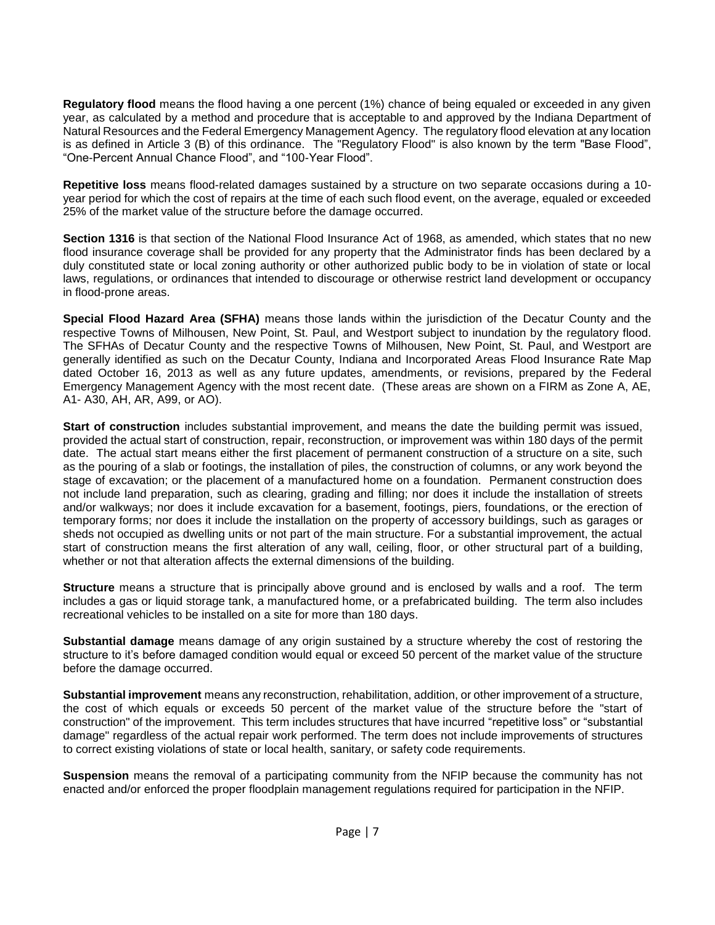**Regulatory flood** means the flood having a one percent (1%) chance of being equaled or exceeded in any given year, as calculated by a method and procedure that is acceptable to and approved by the Indiana Department of Natural Resources and the Federal Emergency Management Agency. The regulatory flood elevation at any location is as defined in Article 3 (B) of this ordinance. The "Regulatory Flood" is also known by the term "Base Flood", "One-Percent Annual Chance Flood", and "100-Year Flood".

**Repetitive loss** means flood-related damages sustained by a structure on two separate occasions during a 10 year period for which the cost of repairs at the time of each such flood event, on the average, equaled or exceeded 25% of the market value of the structure before the damage occurred.

**Section 1316** is that section of the National Flood Insurance Act of 1968, as amended, which states that no new flood insurance coverage shall be provided for any property that the Administrator finds has been declared by a duly constituted state or local zoning authority or other authorized public body to be in violation of state or local laws, regulations, or ordinances that intended to discourage or otherwise restrict land development or occupancy in flood-prone areas.

**Special Flood Hazard Area (SFHA)** means those lands within the jurisdiction of the Decatur County and the respective Towns of Milhousen, New Point, St. Paul, and Westport subject to inundation by the regulatory flood. The SFHAs of Decatur County and the respective Towns of Milhousen, New Point, St. Paul, and Westport are generally identified as such on the Decatur County, Indiana and Incorporated Areas Flood Insurance Rate Map dated October 16, 2013 as well as any future updates, amendments, or revisions, prepared by the Federal Emergency Management Agency with the most recent date. (These areas are shown on a FIRM as Zone A, AE, A1- A30, AH, AR, A99, or AO).

**Start of construction** includes substantial improvement, and means the date the building permit was issued, provided the actual start of construction, repair, reconstruction, or improvement was within 180 days of the permit date. The actual start means either the first placement of permanent construction of a structure on a site, such as the pouring of a slab or footings, the installation of piles, the construction of columns, or any work beyond the stage of excavation; or the placement of a manufactured home on a foundation. Permanent construction does not include land preparation, such as clearing, grading and filling; nor does it include the installation of streets and/or walkways; nor does it include excavation for a basement, footings, piers, foundations, or the erection of temporary forms; nor does it include the installation on the property of accessory buildings, such as garages or sheds not occupied as dwelling units or not part of the main structure. For a substantial improvement, the actual start of construction means the first alteration of any wall, ceiling, floor, or other structural part of a building, whether or not that alteration affects the external dimensions of the building.

**Structure** means a structure that is principally above ground and is enclosed by walls and a roof. The term includes a gas or liquid storage tank, a manufactured home, or a prefabricated building. The term also includes recreational vehicles to be installed on a site for more than 180 days.

**Substantial damage** means damage of any origin sustained by a structure whereby the cost of restoring the structure to it's before damaged condition would equal or exceed 50 percent of the market value of the structure before the damage occurred.

**Substantial improvement** means any reconstruction, rehabilitation, addition, or other improvement of a structure, the cost of which equals or exceeds 50 percent of the market value of the structure before the "start of construction" of the improvement. This term includes structures that have incurred "repetitive loss" or "substantial damage" regardless of the actual repair work performed. The term does not include improvements of structures to correct existing violations of state or local health, sanitary, or safety code requirements.

**Suspension** means the removal of a participating community from the NFIP because the community has not enacted and/or enforced the proper floodplain management regulations required for participation in the NFIP.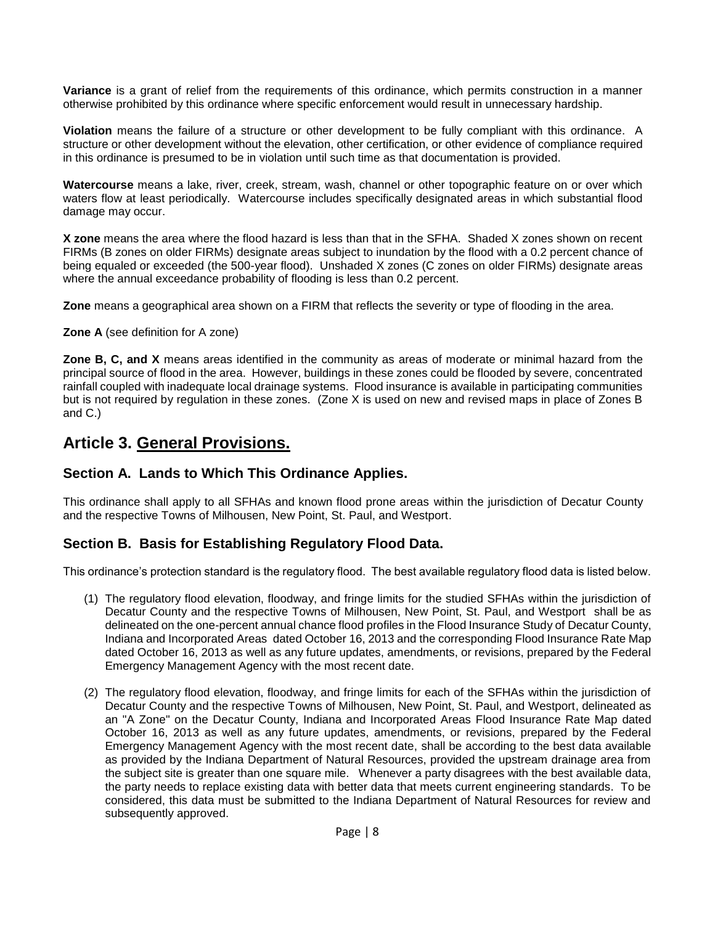**Variance** is a grant of relief from the requirements of this ordinance, which permits construction in a manner otherwise prohibited by this ordinance where specific enforcement would result in unnecessary hardship.

**Violation** means the failure of a structure or other development to be fully compliant with this ordinance. A structure or other development without the elevation, other certification, or other evidence of compliance required in this ordinance is presumed to be in violation until such time as that documentation is provided.

**Watercourse** means a lake, river, creek, stream, wash, channel or other topographic feature on or over which waters flow at least periodically. Watercourse includes specifically designated areas in which substantial flood damage may occur.

**X zone** means the area where the flood hazard is less than that in the SFHA. Shaded X zones shown on recent FIRMs (B zones on older FIRMs) designate areas subject to inundation by the flood with a 0.2 percent chance of being equaled or exceeded (the 500-year flood). Unshaded X zones (C zones on older FIRMs) designate areas where the annual exceedance probability of flooding is less than 0.2 percent.

**Zone** means a geographical area shown on a FIRM that reflects the severity or type of flooding in the area.

#### **Zone A** (see definition for A zone)

**Zone B, C, and X** means areas identified in the community as areas of moderate or minimal hazard from the principal source of flood in the area. However, buildings in these zones could be flooded by severe, concentrated rainfall coupled with inadequate local drainage systems. Flood insurance is available in participating communities but is not required by regulation in these zones. (Zone X is used on new and revised maps in place of Zones B and C.)

# **Article 3. General Provisions.**

### **Section A. Lands to Which This Ordinance Applies.**

This ordinance shall apply to all SFHAs and known flood prone areas within the jurisdiction of Decatur County and the respective Towns of Milhousen, New Point, St. Paul, and Westport.

## **Section B. Basis for Establishing Regulatory Flood Data.**

This ordinance's protection standard is the regulatory flood. The best available regulatory flood data is listed below.

- (1) The regulatory flood elevation, floodway, and fringe limits for the studied SFHAs within the jurisdiction of Decatur County and the respective Towns of Milhousen, New Point, St. Paul, and Westport shall be as delineated on the one-percent annual chance flood profiles in the Flood Insurance Study of Decatur County, Indiana and Incorporated Areas dated October 16, 2013 and the corresponding Flood Insurance Rate Map dated October 16, 2013 as well as any future updates, amendments, or revisions, prepared by the Federal Emergency Management Agency with the most recent date.
- (2) The regulatory flood elevation, floodway, and fringe limits for each of the SFHAs within the jurisdiction of Decatur County and the respective Towns of Milhousen, New Point, St. Paul, and Westport, delineated as an "A Zone" on the Decatur County, Indiana and Incorporated Areas Flood Insurance Rate Map dated October 16, 2013 as well as any future updates, amendments, or revisions, prepared by the Federal Emergency Management Agency with the most recent date, shall be according to the best data available as provided by the Indiana Department of Natural Resources, provided the upstream drainage area from the subject site is greater than one square mile. Whenever a party disagrees with the best available data, the party needs to replace existing data with better data that meets current engineering standards. To be considered, this data must be submitted to the Indiana Department of Natural Resources for review and subsequently approved.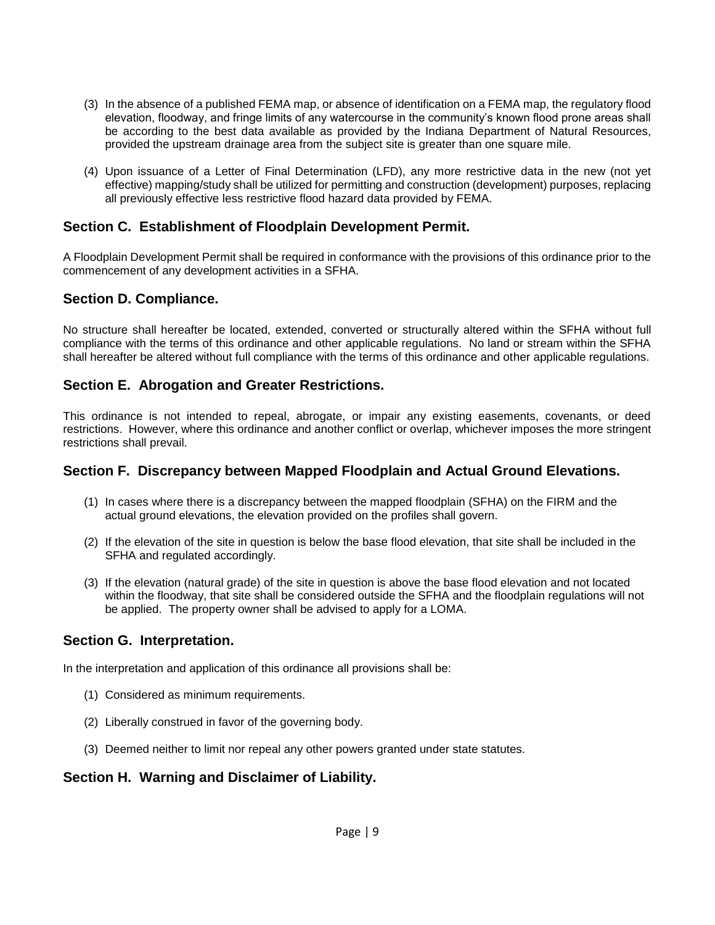- (3) In the absence of a published FEMA map, or absence of identification on a FEMA map, the regulatory flood elevation, floodway, and fringe limits of any watercourse in the community's known flood prone areas shall be according to the best data available as provided by the Indiana Department of Natural Resources, provided the upstream drainage area from the subject site is greater than one square mile.
- (4) Upon issuance of a Letter of Final Determination (LFD), any more restrictive data in the new (not yet effective) mapping/study shall be utilized for permitting and construction (development) purposes, replacing all previously effective less restrictive flood hazard data provided by FEMA.

### **Section C. Establishment of Floodplain Development Permit.**

A Floodplain Development Permit shall be required in conformance with the provisions of this ordinance prior to the commencement of any development activities in a SFHA.

### **Section D. Compliance.**

No structure shall hereafter be located, extended, converted or structurally altered within the SFHA without full compliance with the terms of this ordinance and other applicable regulations. No land or stream within the SFHA shall hereafter be altered without full compliance with the terms of this ordinance and other applicable regulations.

### **Section E. Abrogation and Greater Restrictions.**

This ordinance is not intended to repeal, abrogate, or impair any existing easements, covenants, or deed restrictions. However, where this ordinance and another conflict or overlap, whichever imposes the more stringent restrictions shall prevail.

### **Section F. Discrepancy between Mapped Floodplain and Actual Ground Elevations.**

- (1) In cases where there is a discrepancy between the mapped floodplain (SFHA) on the FIRM and the actual ground elevations, the elevation provided on the profiles shall govern.
- (2) If the elevation of the site in question is below the base flood elevation, that site shall be included in the SFHA and regulated accordingly.
- (3) If the elevation (natural grade) of the site in question is above the base flood elevation and not located within the floodway, that site shall be considered outside the SFHA and the floodplain regulations will not be applied. The property owner shall be advised to apply for a LOMA.

### **Section G. Interpretation.**

In the interpretation and application of this ordinance all provisions shall be:

- (1) Considered as minimum requirements.
- (2) Liberally construed in favor of the governing body.
- (3) Deemed neither to limit nor repeal any other powers granted under state statutes.

### **Section H. Warning and Disclaimer of Liability.**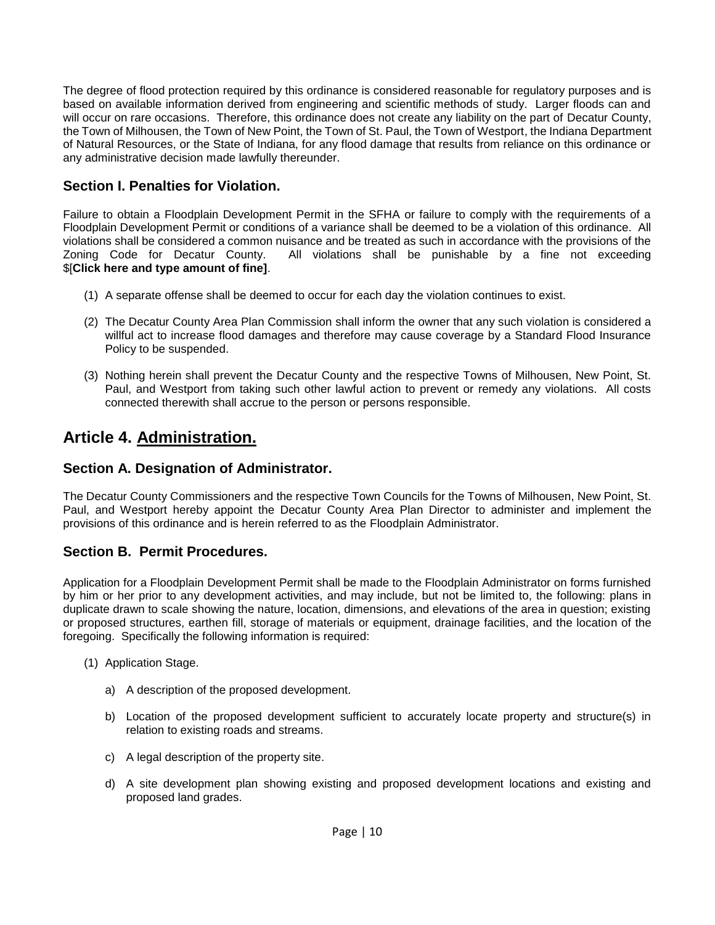The degree of flood protection required by this ordinance is considered reasonable for regulatory purposes and is based on available information derived from engineering and scientific methods of study. Larger floods can and will occur on rare occasions. Therefore, this ordinance does not create any liability on the part of Decatur County, the Town of Milhousen, the Town of New Point, the Town of St. Paul, the Town of Westport, the Indiana Department of Natural Resources, or the State of Indiana, for any flood damage that results from reliance on this ordinance or any administrative decision made lawfully thereunder.

## **Section I. Penalties for Violation.**

Failure to obtain a Floodplain Development Permit in the SFHA or failure to comply with the requirements of a Floodplain Development Permit or conditions of a variance shall be deemed to be a violation of this ordinance. All violations shall be considered a common nuisance and be treated as such in accordance with the provisions of the Zoning Code for Decatur County. All violations shall be punishable by a fine not exceeding \$[**Click here and type amount of fine]**.

- (1) A separate offense shall be deemed to occur for each day the violation continues to exist.
- (2) The Decatur County Area Plan Commission shall inform the owner that any such violation is considered a willful act to increase flood damages and therefore may cause coverage by a Standard Flood Insurance Policy to be suspended.
- (3) Nothing herein shall prevent the Decatur County and the respective Towns of Milhousen, New Point, St. Paul, and Westport from taking such other lawful action to prevent or remedy any violations. All costs connected therewith shall accrue to the person or persons responsible.

# **Article 4. Administration.**

### **Section A. Designation of Administrator.**

The Decatur County Commissioners and the respective Town Councils for the Towns of Milhousen, New Point, St. Paul, and Westport hereby appoint the Decatur County Area Plan Director to administer and implement the provisions of this ordinance and is herein referred to as the Floodplain Administrator.

## **Section B. Permit Procedures.**

Application for a Floodplain Development Permit shall be made to the Floodplain Administrator on forms furnished by him or her prior to any development activities, and may include, but not be limited to, the following: plans in duplicate drawn to scale showing the nature, location, dimensions, and elevations of the area in question; existing or proposed structures, earthen fill, storage of materials or equipment, drainage facilities, and the location of the foregoing. Specifically the following information is required:

- (1) Application Stage.
	- a) A description of the proposed development.
	- b) Location of the proposed development sufficient to accurately locate property and structure(s) in relation to existing roads and streams.
	- c) A legal description of the property site.
	- d) A site development plan showing existing and proposed development locations and existing and proposed land grades.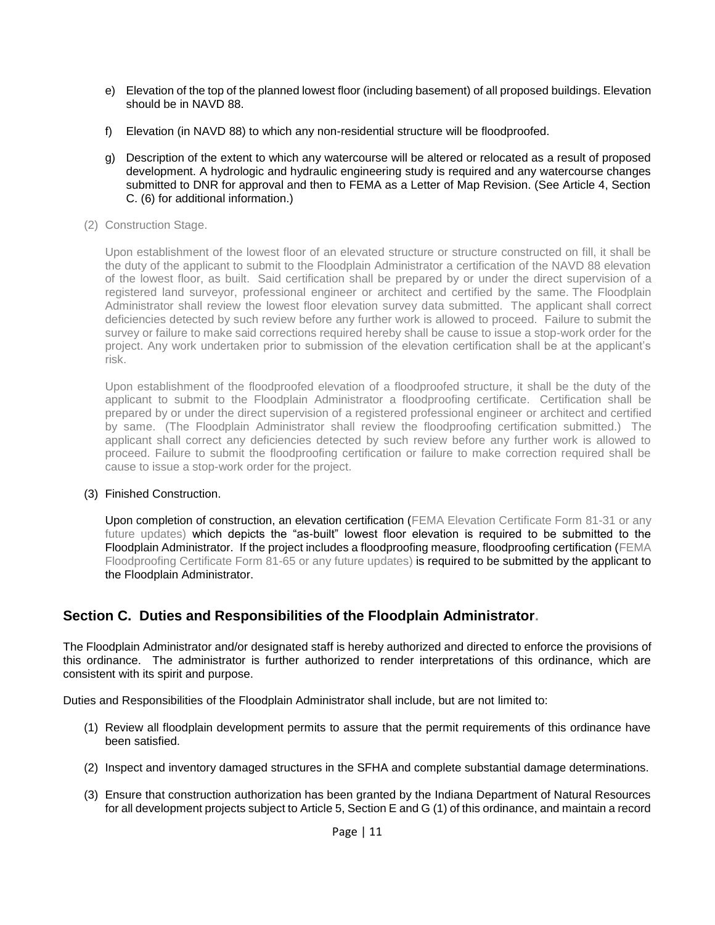- e) Elevation of the top of the planned lowest floor (including basement) of all proposed buildings. Elevation should be in NAVD 88.
- f) Elevation (in NAVD 88) to which any non-residential structure will be floodproofed.
- g) Description of the extent to which any watercourse will be altered or relocated as a result of proposed development. A hydrologic and hydraulic engineering study is required and any watercourse changes submitted to DNR for approval and then to FEMA as a Letter of Map Revision. (See Article 4, Section C. (6) for additional information.)
- (2) Construction Stage.

Upon establishment of the lowest floor of an elevated structure or structure constructed on fill, it shall be the duty of the applicant to submit to the Floodplain Administrator a certification of the NAVD 88 elevation of the lowest floor, as built. Said certification shall be prepared by or under the direct supervision of a registered land surveyor, professional engineer or architect and certified by the same. The Floodplain Administrator shall review the lowest floor elevation survey data submitted. The applicant shall correct deficiencies detected by such review before any further work is allowed to proceed. Failure to submit the survey or failure to make said corrections required hereby shall be cause to issue a stop-work order for the project. Any work undertaken prior to submission of the elevation certification shall be at the applicant's risk.

Upon establishment of the floodproofed elevation of a floodproofed structure, it shall be the duty of the applicant to submit to the Floodplain Administrator a floodproofing certificate. Certification shall be prepared by or under the direct supervision of a registered professional engineer or architect and certified by same. (The Floodplain Administrator shall review the floodproofing certification submitted.) The applicant shall correct any deficiencies detected by such review before any further work is allowed to proceed. Failure to submit the floodproofing certification or failure to make correction required shall be cause to issue a stop-work order for the project.

(3) Finished Construction.

Upon completion of construction, an elevation certification (FEMA Elevation Certificate Form 81-31 or any future updates) which depicts the "as-built" lowest floor elevation is required to be submitted to the Floodplain Administrator. If the project includes a floodproofing measure, floodproofing certification (FEMA Floodproofing Certificate Form 81-65 or any future updates) is required to be submitted by the applicant to the Floodplain Administrator.

## **Section C. Duties and Responsibilities of the Floodplain Administrator.**

The Floodplain Administrator and/or designated staff is hereby authorized and directed to enforce the provisions of this ordinance. The administrator is further authorized to render interpretations of this ordinance, which are consistent with its spirit and purpose.

Duties and Responsibilities of the Floodplain Administrator shall include, but are not limited to:

- (1) Review all floodplain development permits to assure that the permit requirements of this ordinance have been satisfied.
- (2) Inspect and inventory damaged structures in the SFHA and complete substantial damage determinations.
- (3) Ensure that construction authorization has been granted by the Indiana Department of Natural Resources for all development projects subject to Article 5, Section E and G (1) of this ordinance, and maintain a record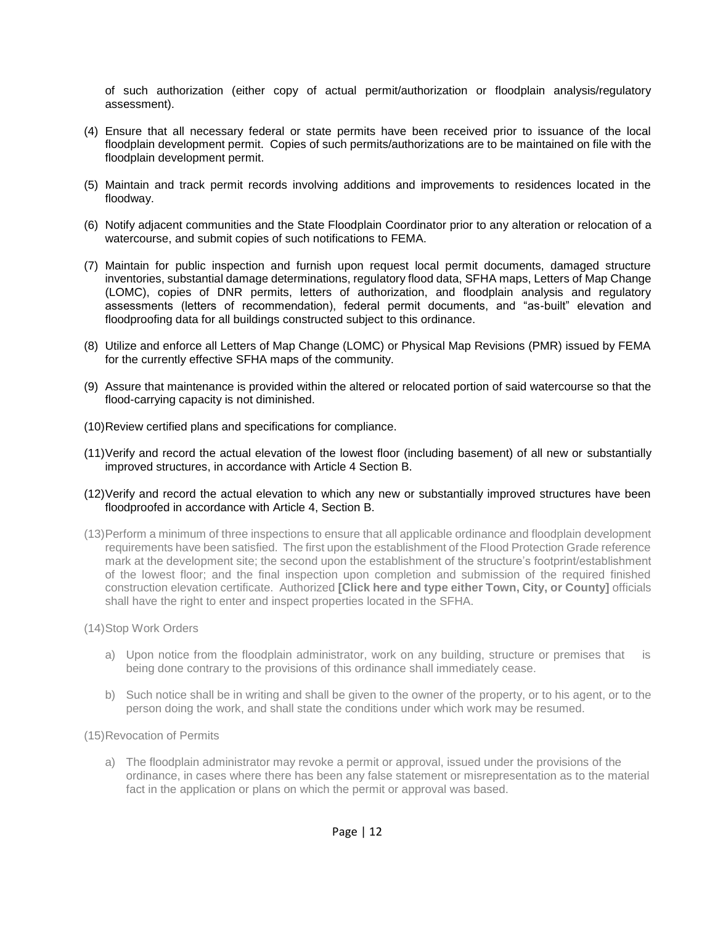of such authorization (either copy of actual permit/authorization or floodplain analysis/regulatory assessment).

- (4) Ensure that all necessary federal or state permits have been received prior to issuance of the local floodplain development permit. Copies of such permits/authorizations are to be maintained on file with the floodplain development permit.
- (5) Maintain and track permit records involving additions and improvements to residences located in the floodway.
- (6) Notify adjacent communities and the State Floodplain Coordinator prior to any alteration or relocation of a watercourse, and submit copies of such notifications to FEMA.
- (7) Maintain for public inspection and furnish upon request local permit documents, damaged structure inventories, substantial damage determinations, regulatory flood data, SFHA maps, Letters of Map Change (LOMC), copies of DNR permits, letters of authorization, and floodplain analysis and regulatory assessments (letters of recommendation), federal permit documents, and "as-built" elevation and floodproofing data for all buildings constructed subject to this ordinance.
- (8) Utilize and enforce all Letters of Map Change (LOMC) or Physical Map Revisions (PMR) issued by FEMA for the currently effective SFHA maps of the community.
- (9) Assure that maintenance is provided within the altered or relocated portion of said watercourse so that the flood-carrying capacity is not diminished.
- (10)Review certified plans and specifications for compliance.
- (11)Verify and record the actual elevation of the lowest floor (including basement) of all new or substantially improved structures, in accordance with Article 4 Section B.
- (12)Verify and record the actual elevation to which any new or substantially improved structures have been floodproofed in accordance with Article 4, Section B.
- (13)Perform a minimum of three inspections to ensure that all applicable ordinance and floodplain development requirements have been satisfied. The first upon the establishment of the Flood Protection Grade reference mark at the development site; the second upon the establishment of the structure's footprint/establishment of the lowest floor; and the final inspection upon completion and submission of the required finished construction elevation certificate. Authorized **[Click here and type either Town, City, or County]** officials shall have the right to enter and inspect properties located in the SFHA.
- (14)Stop Work Orders
	- a) Upon notice from the floodplain administrator, work on any building, structure or premises that is being done contrary to the provisions of this ordinance shall immediately cease.
	- b) Such notice shall be in writing and shall be given to the owner of the property, or to his agent, or to the person doing the work, and shall state the conditions under which work may be resumed.
- (15)Revocation of Permits
	- a) The floodplain administrator may revoke a permit or approval, issued under the provisions of the ordinance, in cases where there has been any false statement or misrepresentation as to the material fact in the application or plans on which the permit or approval was based.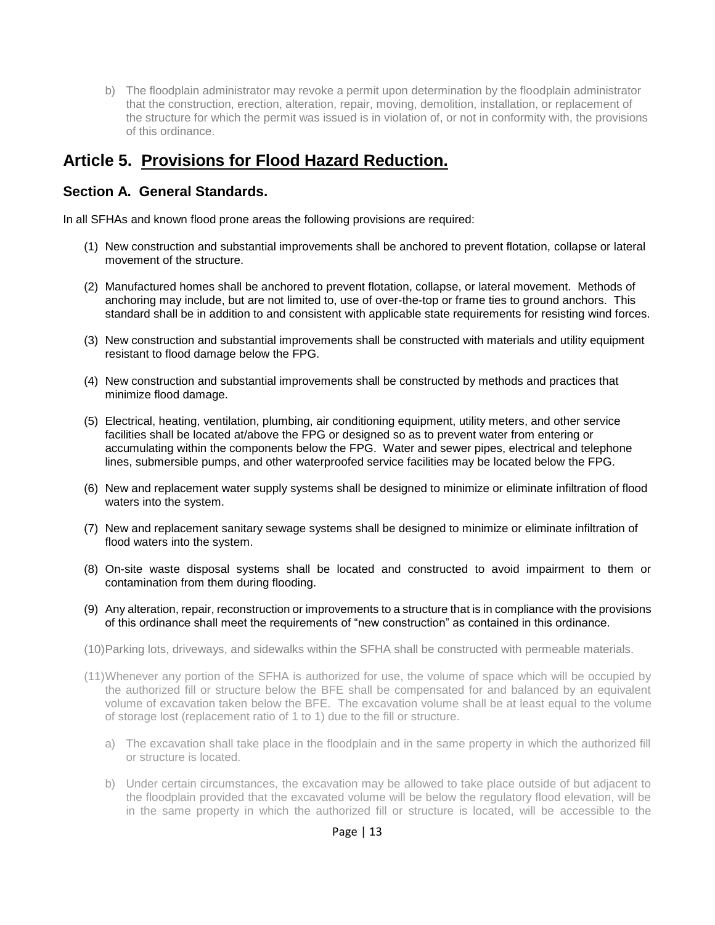b) The floodplain administrator may revoke a permit upon determination by the floodplain administrator that the construction, erection, alteration, repair, moving, demolition, installation, or replacement of the structure for which the permit was issued is in violation of, or not in conformity with, the provisions of this ordinance.

# **Article 5. Provisions for Flood Hazard Reduction.**

## **Section A. General Standards.**

In all SFHAs and known flood prone areas the following provisions are required:

- (1) New construction and substantial improvements shall be anchored to prevent flotation, collapse or lateral movement of the structure.
- (2) Manufactured homes shall be anchored to prevent flotation, collapse, or lateral movement. Methods of anchoring may include, but are not limited to, use of over-the-top or frame ties to ground anchors. This standard shall be in addition to and consistent with applicable state requirements for resisting wind forces.
- (3) New construction and substantial improvements shall be constructed with materials and utility equipment resistant to flood damage below the FPG.
- (4) New construction and substantial improvements shall be constructed by methods and practices that minimize flood damage.
- (5) Electrical, heating, ventilation, plumbing, air conditioning equipment, utility meters, and other service facilities shall be located at/above the FPG or designed so as to prevent water from entering or accumulating within the components below the FPG. Water and sewer pipes, electrical and telephone lines, submersible pumps, and other waterproofed service facilities may be located below the FPG.
- (6) New and replacement water supply systems shall be designed to minimize or eliminate infiltration of flood waters into the system.
- (7) New and replacement sanitary sewage systems shall be designed to minimize or eliminate infiltration of flood waters into the system.
- (8) On-site waste disposal systems shall be located and constructed to avoid impairment to them or contamination from them during flooding.
- (9) Any alteration, repair, reconstruction or improvements to a structure that is in compliance with the provisions of this ordinance shall meet the requirements of "new construction" as contained in this ordinance.
- (10)Parking lots, driveways, and sidewalks within the SFHA shall be constructed with permeable materials.
- (11)Whenever any portion of the SFHA is authorized for use, the volume of space which will be occupied by the authorized fill or structure below the BFE shall be compensated for and balanced by an equivalent volume of excavation taken below the BFE. The excavation volume shall be at least equal to the volume of storage lost (replacement ratio of 1 to 1) due to the fill or structure.
	- a) The excavation shall take place in the floodplain and in the same property in which the authorized fill or structure is located.
	- b) Under certain circumstances, the excavation may be allowed to take place outside of but adjacent to the floodplain provided that the excavated volume will be below the regulatory flood elevation, will be in the same property in which the authorized fill or structure is located, will be accessible to the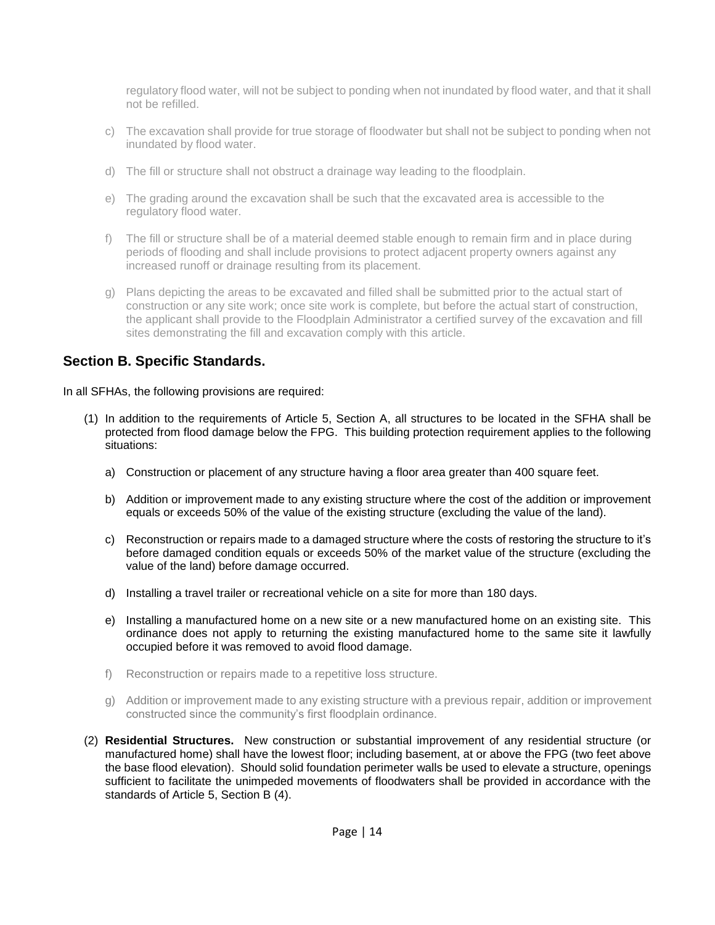regulatory flood water, will not be subject to ponding when not inundated by flood water, and that it shall not be refilled.

- c) The excavation shall provide for true storage of floodwater but shall not be subject to ponding when not inundated by flood water.
- d) The fill or structure shall not obstruct a drainage way leading to the floodplain.
- e) The grading around the excavation shall be such that the excavated area is accessible to the regulatory flood water.
- f) The fill or structure shall be of a material deemed stable enough to remain firm and in place during periods of flooding and shall include provisions to protect adjacent property owners against any increased runoff or drainage resulting from its placement.
- g) Plans depicting the areas to be excavated and filled shall be submitted prior to the actual start of construction or any site work; once site work is complete, but before the actual start of construction, the applicant shall provide to the Floodplain Administrator a certified survey of the excavation and fill sites demonstrating the fill and excavation comply with this article.

## **Section B. Specific Standards.**

In all SFHAs, the following provisions are required:

- (1) In addition to the requirements of Article 5, Section A, all structures to be located in the SFHA shall be protected from flood damage below the FPG. This building protection requirement applies to the following situations:
	- a) Construction or placement of any structure having a floor area greater than 400 square feet.
	- b) Addition or improvement made to any existing structure where the cost of the addition or improvement equals or exceeds 50% of the value of the existing structure (excluding the value of the land).
	- c) Reconstruction or repairs made to a damaged structure where the costs of restoring the structure to it's before damaged condition equals or exceeds 50% of the market value of the structure (excluding the value of the land) before damage occurred.
	- d) Installing a travel trailer or recreational vehicle on a site for more than 180 days.
	- e) Installing a manufactured home on a new site or a new manufactured home on an existing site. This ordinance does not apply to returning the existing manufactured home to the same site it lawfully occupied before it was removed to avoid flood damage.
	- f) Reconstruction or repairs made to a repetitive loss structure.
	- g) Addition or improvement made to any existing structure with a previous repair, addition or improvement constructed since the community's first floodplain ordinance.
- (2) **Residential Structures.** New construction or substantial improvement of any residential structure (or manufactured home) shall have the lowest floor; including basement, at or above the FPG (two feet above the base flood elevation). Should solid foundation perimeter walls be used to elevate a structure, openings sufficient to facilitate the unimpeded movements of floodwaters shall be provided in accordance with the standards of Article 5, Section B (4).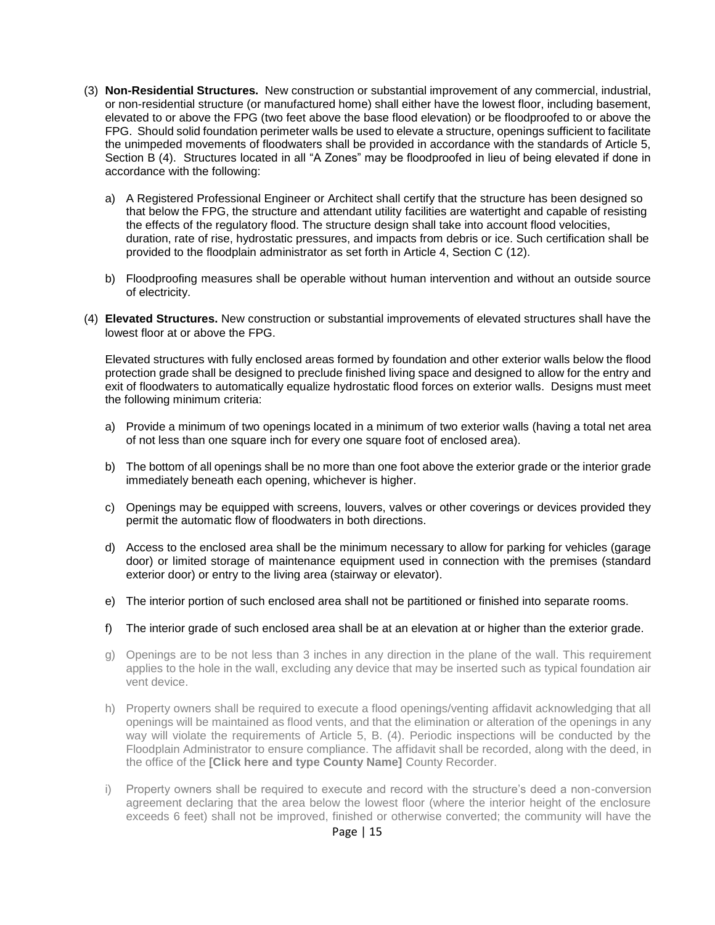- (3) **Non-Residential Structures.** New construction or substantial improvement of any commercial, industrial, or non-residential structure (or manufactured home) shall either have the lowest floor, including basement, elevated to or above the FPG (two feet above the base flood elevation) or be floodproofed to or above the FPG. Should solid foundation perimeter walls be used to elevate a structure, openings sufficient to facilitate the unimpeded movements of floodwaters shall be provided in accordance with the standards of Article 5, Section B (4). Structures located in all "A Zones" may be floodproofed in lieu of being elevated if done in accordance with the following:
	- a) A Registered Professional Engineer or Architect shall certify that the structure has been designed so that below the FPG, the structure and attendant utility facilities are watertight and capable of resisting the effects of the regulatory flood. The structure design shall take into account flood velocities, duration, rate of rise, hydrostatic pressures, and impacts from debris or ice. Such certification shall be provided to the floodplain administrator as set forth in Article 4, Section C (12).
	- b) Floodproofing measures shall be operable without human intervention and without an outside source of electricity.
- (4) **Elevated Structures.** New construction or substantial improvements of elevated structures shall have the lowest floor at or above the FPG.

Elevated structures with fully enclosed areas formed by foundation and other exterior walls below the flood protection grade shall be designed to preclude finished living space and designed to allow for the entry and exit of floodwaters to automatically equalize hydrostatic flood forces on exterior walls. Designs must meet the following minimum criteria:

- a) Provide a minimum of two openings located in a minimum of two exterior walls (having a total net area of not less than one square inch for every one square foot of enclosed area).
- b) The bottom of all openings shall be no more than one foot above the exterior grade or the interior grade immediately beneath each opening, whichever is higher.
- c) Openings may be equipped with screens, louvers, valves or other coverings or devices provided they permit the automatic flow of floodwaters in both directions.
- d) Access to the enclosed area shall be the minimum necessary to allow for parking for vehicles (garage door) or limited storage of maintenance equipment used in connection with the premises (standard exterior door) or entry to the living area (stairway or elevator).
- e) The interior portion of such enclosed area shall not be partitioned or finished into separate rooms.
- f) The interior grade of such enclosed area shall be at an elevation at or higher than the exterior grade.
- g) Openings are to be not less than 3 inches in any direction in the plane of the wall. This requirement applies to the hole in the wall, excluding any device that may be inserted such as typical foundation air vent device.
- h) Property owners shall be required to execute a flood openings/venting affidavit acknowledging that all openings will be maintained as flood vents, and that the elimination or alteration of the openings in any way will violate the requirements of Article 5, B. (4). Periodic inspections will be conducted by the Floodplain Administrator to ensure compliance. The affidavit shall be recorded, along with the deed, in the office of the **[Click here and type County Name]** County Recorder.
- i) Property owners shall be required to execute and record with the structure's deed a non-conversion agreement declaring that the area below the lowest floor (where the interior height of the enclosure exceeds 6 feet) shall not be improved, finished or otherwise converted; the community will have the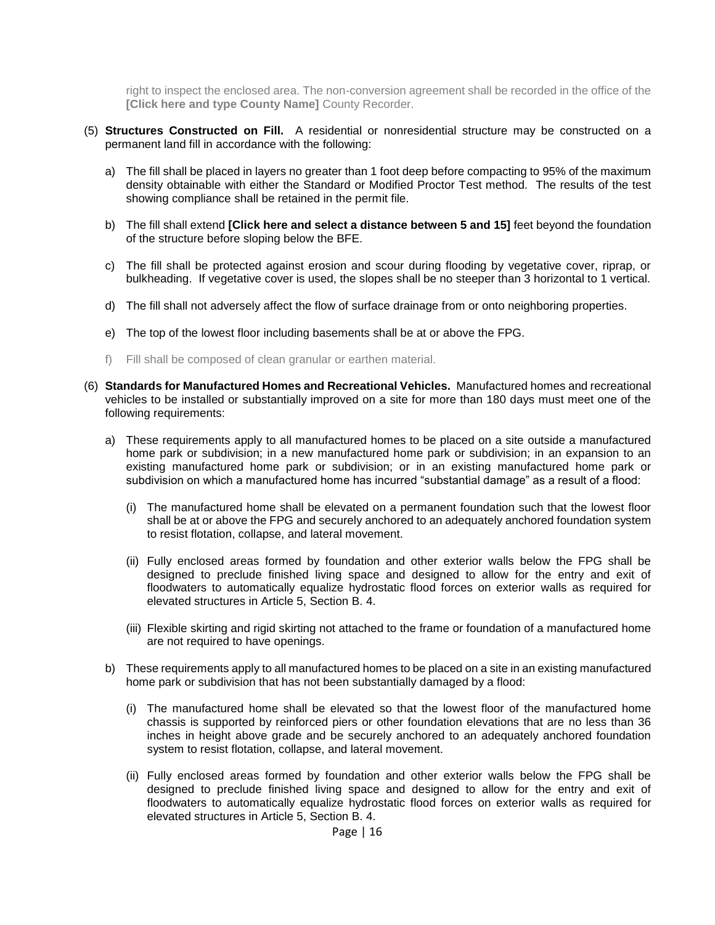right to inspect the enclosed area. The non-conversion agreement shall be recorded in the office of the **[Click here and type County Name]** County Recorder.

- (5) **Structures Constructed on Fill.** A residential or nonresidential structure may be constructed on a permanent land fill in accordance with the following:
	- a) The fill shall be placed in layers no greater than 1 foot deep before compacting to 95% of the maximum density obtainable with either the Standard or Modified Proctor Test method. The results of the test showing compliance shall be retained in the permit file.
	- b) The fill shall extend **[Click here and select a distance between 5 and 15]** feet beyond the foundation of the structure before sloping below the BFE.
	- c) The fill shall be protected against erosion and scour during flooding by vegetative cover, riprap, or bulkheading. If vegetative cover is used, the slopes shall be no steeper than 3 horizontal to 1 vertical.
	- d) The fill shall not adversely affect the flow of surface drainage from or onto neighboring properties.
	- e) The top of the lowest floor including basements shall be at or above the FPG.
	- f) Fill shall be composed of clean granular or earthen material.
- (6) **Standards for Manufactured Homes and Recreational Vehicles.** Manufactured homes and recreational vehicles to be installed or substantially improved on a site for more than 180 days must meet one of the following requirements:
	- a) These requirements apply to all manufactured homes to be placed on a site outside a manufactured home park or subdivision; in a new manufactured home park or subdivision; in an expansion to an existing manufactured home park or subdivision; or in an existing manufactured home park or subdivision on which a manufactured home has incurred "substantial damage" as a result of a flood:
		- (i) The manufactured home shall be elevated on a permanent foundation such that the lowest floor shall be at or above the FPG and securely anchored to an adequately anchored foundation system to resist flotation, collapse, and lateral movement.
		- (ii) Fully enclosed areas formed by foundation and other exterior walls below the FPG shall be designed to preclude finished living space and designed to allow for the entry and exit of floodwaters to automatically equalize hydrostatic flood forces on exterior walls as required for elevated structures in Article 5, Section B. 4.
		- (iii) Flexible skirting and rigid skirting not attached to the frame or foundation of a manufactured home are not required to have openings.
	- b) These requirements apply to all manufactured homes to be placed on a site in an existing manufactured home park or subdivision that has not been substantially damaged by a flood:
		- (i) The manufactured home shall be elevated so that the lowest floor of the manufactured home chassis is supported by reinforced piers or other foundation elevations that are no less than 36 inches in height above grade and be securely anchored to an adequately anchored foundation system to resist flotation, collapse, and lateral movement.
		- (ii) Fully enclosed areas formed by foundation and other exterior walls below the FPG shall be designed to preclude finished living space and designed to allow for the entry and exit of floodwaters to automatically equalize hydrostatic flood forces on exterior walls as required for elevated structures in Article 5, Section B. 4.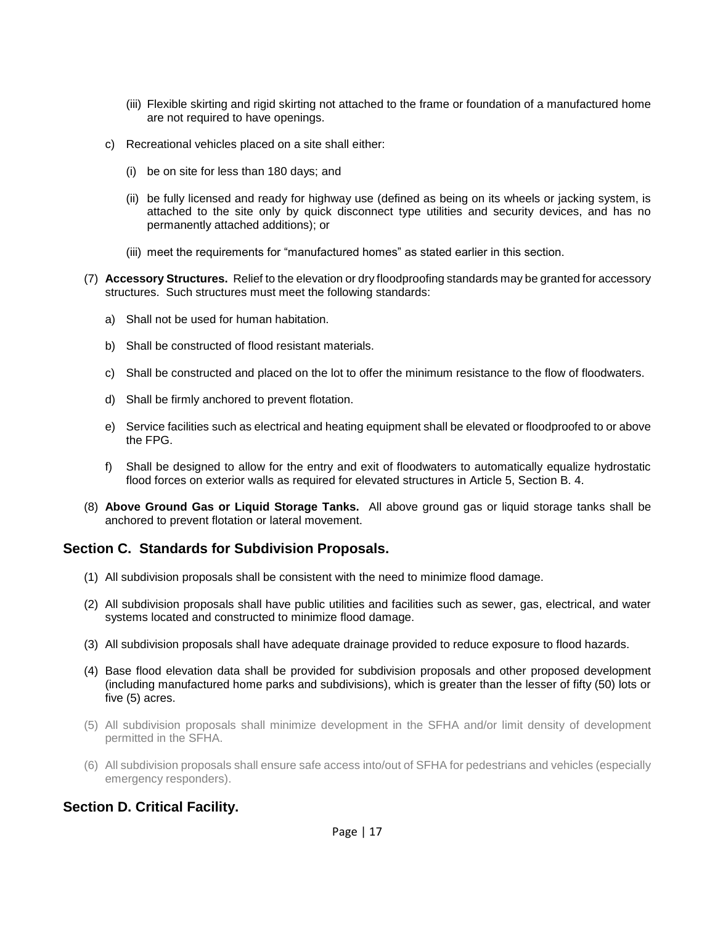- (iii) Flexible skirting and rigid skirting not attached to the frame or foundation of a manufactured home are not required to have openings.
- c) Recreational vehicles placed on a site shall either:
	- (i) be on site for less than 180 days; and
	- (ii) be fully licensed and ready for highway use (defined as being on its wheels or jacking system, is attached to the site only by quick disconnect type utilities and security devices, and has no permanently attached additions); or
	- (iii) meet the requirements for "manufactured homes" as stated earlier in this section.
- (7) **Accessory Structures.** Relief to the elevation or dry floodproofing standards may be granted for accessory structures. Such structures must meet the following standards:
	- a) Shall not be used for human habitation.
	- b) Shall be constructed of flood resistant materials.
	- c) Shall be constructed and placed on the lot to offer the minimum resistance to the flow of floodwaters.
	- d) Shall be firmly anchored to prevent flotation.
	- e) Service facilities such as electrical and heating equipment shall be elevated or floodproofed to or above the FPG.
	- f) Shall be designed to allow for the entry and exit of floodwaters to automatically equalize hydrostatic flood forces on exterior walls as required for elevated structures in Article 5, Section B. 4.
- (8) **Above Ground Gas or Liquid Storage Tanks.** All above ground gas or liquid storage tanks shall be anchored to prevent flotation or lateral movement.

### **Section C. Standards for Subdivision Proposals.**

- (1) All subdivision proposals shall be consistent with the need to minimize flood damage.
- (2) All subdivision proposals shall have public utilities and facilities such as sewer, gas, electrical, and water systems located and constructed to minimize flood damage.
- (3) All subdivision proposals shall have adequate drainage provided to reduce exposure to flood hazards.
- (4) Base flood elevation data shall be provided for subdivision proposals and other proposed development (including manufactured home parks and subdivisions), which is greater than the lesser of fifty (50) lots or five (5) acres.
- (5) All subdivision proposals shall minimize development in the SFHA and/or limit density of development permitted in the SFHA.
- (6) All subdivision proposals shall ensure safe access into/out of SFHA for pedestrians and vehicles (especially emergency responders).

### **Section D. Critical Facility.**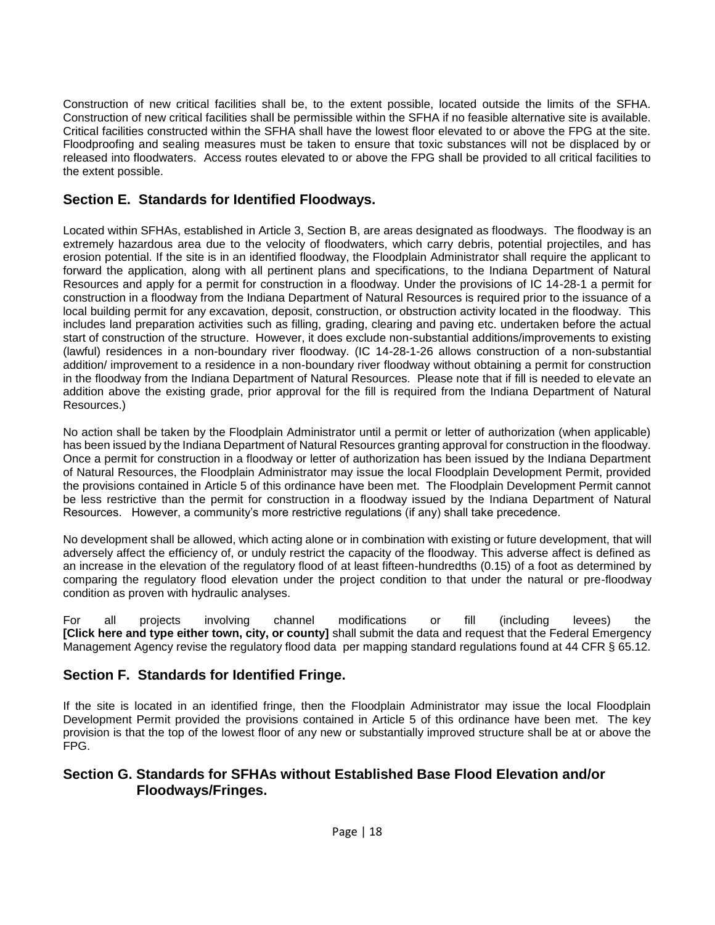Construction of new critical facilities shall be, to the extent possible, located outside the limits of the SFHA. Construction of new critical facilities shall be permissible within the SFHA if no feasible alternative site is available. Critical facilities constructed within the SFHA shall have the lowest floor elevated to or above the FPG at the site. Floodproofing and sealing measures must be taken to ensure that toxic substances will not be displaced by or released into floodwaters. Access routes elevated to or above the FPG shall be provided to all critical facilities to the extent possible.

## **Section E. Standards for Identified Floodways.**

Located within SFHAs, established in Article 3, Section B, are areas designated as floodways. The floodway is an extremely hazardous area due to the velocity of floodwaters, which carry debris, potential projectiles, and has erosion potential. If the site is in an identified floodway, the Floodplain Administrator shall require the applicant to forward the application, along with all pertinent plans and specifications, to the Indiana Department of Natural Resources and apply for a permit for construction in a floodway. Under the provisions of IC 14-28-1 a permit for construction in a floodway from the Indiana Department of Natural Resources is required prior to the issuance of a local building permit for any excavation, deposit, construction, or obstruction activity located in the floodway. This includes land preparation activities such as filling, grading, clearing and paving etc. undertaken before the actual start of construction of the structure. However, it does exclude non-substantial additions/improvements to existing (lawful) residences in a non-boundary river floodway. (IC 14-28-1-26 allows construction of a non-substantial addition/ improvement to a residence in a non-boundary river floodway without obtaining a permit for construction in the floodway from the Indiana Department of Natural Resources. Please note that if fill is needed to elevate an addition above the existing grade, prior approval for the fill is required from the Indiana Department of Natural Resources.)

No action shall be taken by the Floodplain Administrator until a permit or letter of authorization (when applicable) has been issued by the Indiana Department of Natural Resources granting approval for construction in the floodway. Once a permit for construction in a floodway or letter of authorization has been issued by the Indiana Department of Natural Resources, the Floodplain Administrator may issue the local Floodplain Development Permit, provided the provisions contained in Article 5 of this ordinance have been met. The Floodplain Development Permit cannot be less restrictive than the permit for construction in a floodway issued by the Indiana Department of Natural Resources. However, a community's more restrictive regulations (if any) shall take precedence.

No development shall be allowed, which acting alone or in combination with existing or future development, that will adversely affect the efficiency of, or unduly restrict the capacity of the floodway. This adverse affect is defined as an increase in the elevation of the regulatory flood of at least fifteen-hundredths (0.15) of a foot as determined by comparing the regulatory flood elevation under the project condition to that under the natural or pre-floodway condition as proven with hydraulic analyses.

For all projects involving channel modifications or fill (including levees) the **[Click here and type either town, city, or county]** shall submit the data and request that the Federal Emergency Management Agency revise the regulatory flood data per mapping standard regulations found at 44 CFR § 65.12.

## **Section F. Standards for Identified Fringe.**

If the site is located in an identified fringe, then the Floodplain Administrator may issue the local Floodplain Development Permit provided the provisions contained in Article 5 of this ordinance have been met. The key provision is that the top of the lowest floor of any new or substantially improved structure shall be at or above the FPG.

### **Section G. Standards for SFHAs without Established Base Flood Elevation and/or Floodways/Fringes.**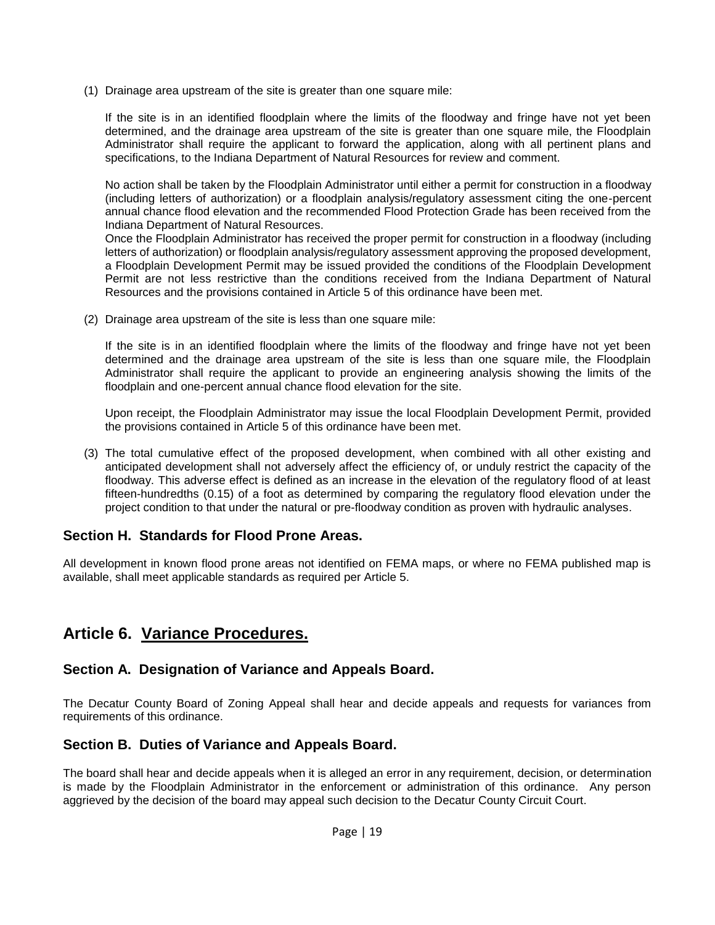(1) Drainage area upstream of the site is greater than one square mile:

If the site is in an identified floodplain where the limits of the floodway and fringe have not yet been determined, and the drainage area upstream of the site is greater than one square mile, the Floodplain Administrator shall require the applicant to forward the application, along with all pertinent plans and specifications, to the Indiana Department of Natural Resources for review and comment.

No action shall be taken by the Floodplain Administrator until either a permit for construction in a floodway (including letters of authorization) or a floodplain analysis/regulatory assessment citing the one-percent annual chance flood elevation and the recommended Flood Protection Grade has been received from the Indiana Department of Natural Resources.

Once the Floodplain Administrator has received the proper permit for construction in a floodway (including letters of authorization) or floodplain analysis/regulatory assessment approving the proposed development, a Floodplain Development Permit may be issued provided the conditions of the Floodplain Development Permit are not less restrictive than the conditions received from the Indiana Department of Natural Resources and the provisions contained in Article 5 of this ordinance have been met.

(2) Drainage area upstream of the site is less than one square mile:

If the site is in an identified floodplain where the limits of the floodway and fringe have not yet been determined and the drainage area upstream of the site is less than one square mile, the Floodplain Administrator shall require the applicant to provide an engineering analysis showing the limits of the floodplain and one-percent annual chance flood elevation for the site.

Upon receipt, the Floodplain Administrator may issue the local Floodplain Development Permit, provided the provisions contained in Article 5 of this ordinance have been met.

(3) The total cumulative effect of the proposed development, when combined with all other existing and anticipated development shall not adversely affect the efficiency of, or unduly restrict the capacity of the floodway. This adverse effect is defined as an increase in the elevation of the regulatory flood of at least fifteen-hundredths (0.15) of a foot as determined by comparing the regulatory flood elevation under the project condition to that under the natural or pre-floodway condition as proven with hydraulic analyses.

### **Section H. Standards for Flood Prone Areas.**

All development in known flood prone areas not identified on FEMA maps, or where no FEMA published map is available, shall meet applicable standards as required per Article 5.

# **Article 6. Variance Procedures.**

### **Section A. Designation of Variance and Appeals Board.**

The Decatur County Board of Zoning Appeal shall hear and decide appeals and requests for variances from requirements of this ordinance.

### **Section B. Duties of Variance and Appeals Board.**

The board shall hear and decide appeals when it is alleged an error in any requirement, decision, or determination is made by the Floodplain Administrator in the enforcement or administration of this ordinance. Any person aggrieved by the decision of the board may appeal such decision to the Decatur County Circuit Court.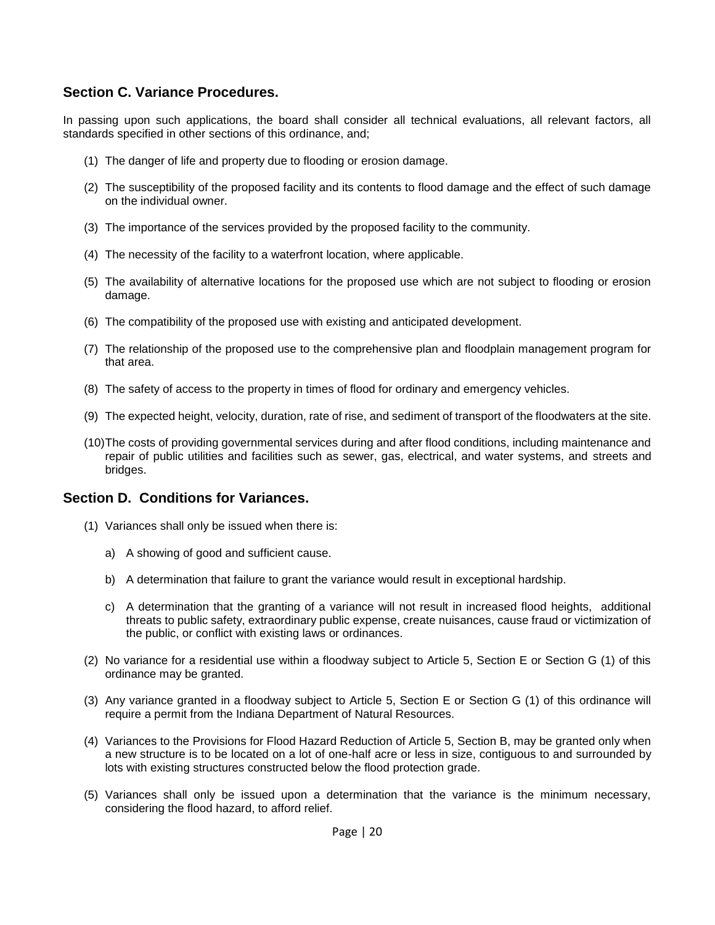### **Section C. Variance Procedures.**

In passing upon such applications, the board shall consider all technical evaluations, all relevant factors, all standards specified in other sections of this ordinance, and;

- (1) The danger of life and property due to flooding or erosion damage.
- (2) The susceptibility of the proposed facility and its contents to flood damage and the effect of such damage on the individual owner.
- (3) The importance of the services provided by the proposed facility to the community.
- (4) The necessity of the facility to a waterfront location, where applicable.
- (5) The availability of alternative locations for the proposed use which are not subject to flooding or erosion damage.
- (6) The compatibility of the proposed use with existing and anticipated development.
- (7) The relationship of the proposed use to the comprehensive plan and floodplain management program for that area.
- (8) The safety of access to the property in times of flood for ordinary and emergency vehicles.
- (9) The expected height, velocity, duration, rate of rise, and sediment of transport of the floodwaters at the site.
- (10)The costs of providing governmental services during and after flood conditions, including maintenance and repair of public utilities and facilities such as sewer, gas, electrical, and water systems, and streets and bridges.

#### **Section D. Conditions for Variances.**

- (1) Variances shall only be issued when there is:
	- a) A showing of good and sufficient cause.
	- b) A determination that failure to grant the variance would result in exceptional hardship.
	- c) A determination that the granting of a variance will not result in increased flood heights, additional threats to public safety, extraordinary public expense, create nuisances, cause fraud or victimization of the public, or conflict with existing laws or ordinances.
- (2) No variance for a residential use within a floodway subject to Article 5, Section E or Section G (1) of this ordinance may be granted.
- (3) Any variance granted in a floodway subject to Article 5, Section E or Section G (1) of this ordinance will require a permit from the Indiana Department of Natural Resources.
- (4) Variances to the Provisions for Flood Hazard Reduction of Article 5, Section B, may be granted only when a new structure is to be located on a lot of one-half acre or less in size, contiguous to and surrounded by lots with existing structures constructed below the flood protection grade.
- (5) Variances shall only be issued upon a determination that the variance is the minimum necessary, considering the flood hazard, to afford relief.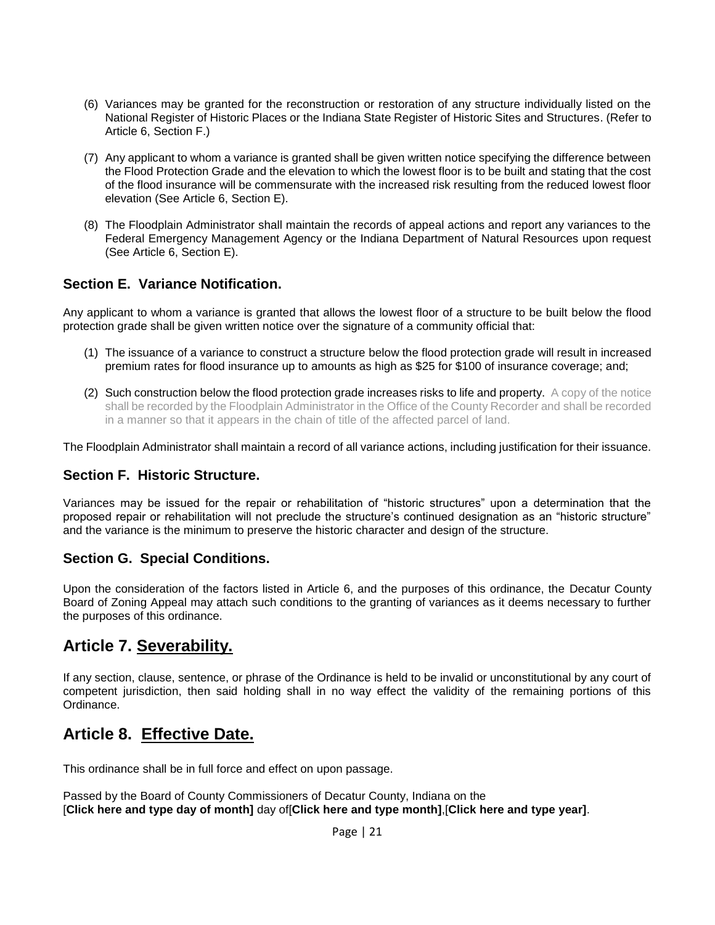- (6) Variances may be granted for the reconstruction or restoration of any structure individually listed on the National Register of Historic Places or the Indiana State Register of Historic Sites and Structures. (Refer to Article 6, Section F.)
- (7) Any applicant to whom a variance is granted shall be given written notice specifying the difference between the Flood Protection Grade and the elevation to which the lowest floor is to be built and stating that the cost of the flood insurance will be commensurate with the increased risk resulting from the reduced lowest floor elevation (See Article 6, Section E).
- (8) The Floodplain Administrator shall maintain the records of appeal actions and report any variances to the Federal Emergency Management Agency or the Indiana Department of Natural Resources upon request (See Article 6, Section E).

## **Section E. Variance Notification.**

Any applicant to whom a variance is granted that allows the lowest floor of a structure to be built below the flood protection grade shall be given written notice over the signature of a community official that:

- (1) The issuance of a variance to construct a structure below the flood protection grade will result in increased premium rates for flood insurance up to amounts as high as \$25 for \$100 of insurance coverage; and;
- (2) Such construction below the flood protection grade increases risks to life and property. A copy of the notice shall be recorded by the Floodplain Administrator in the Office of the County Recorder and shall be recorded in a manner so that it appears in the chain of title of the affected parcel of land.

The Floodplain Administrator shall maintain a record of all variance actions, including justification for their issuance.

### **Section F. Historic Structure.**

Variances may be issued for the repair or rehabilitation of "historic structures" upon a determination that the proposed repair or rehabilitation will not preclude the structure's continued designation as an "historic structure" and the variance is the minimum to preserve the historic character and design of the structure.

### **Section G. Special Conditions.**

Upon the consideration of the factors listed in Article 6, and the purposes of this ordinance, the Decatur County Board of Zoning Appeal may attach such conditions to the granting of variances as it deems necessary to further the purposes of this ordinance.

# **Article 7. Severability.**

If any section, clause, sentence, or phrase of the Ordinance is held to be invalid or unconstitutional by any court of competent jurisdiction, then said holding shall in no way effect the validity of the remaining portions of this Ordinance.

# **Article 8. Effective Date.**

This ordinance shall be in full force and effect on upon passage.

Passed by the Board of County Commissioners of Decatur County, Indiana on the [**Click here and type day of month]** day of[**Click here and type month]**,[**Click here and type year]**.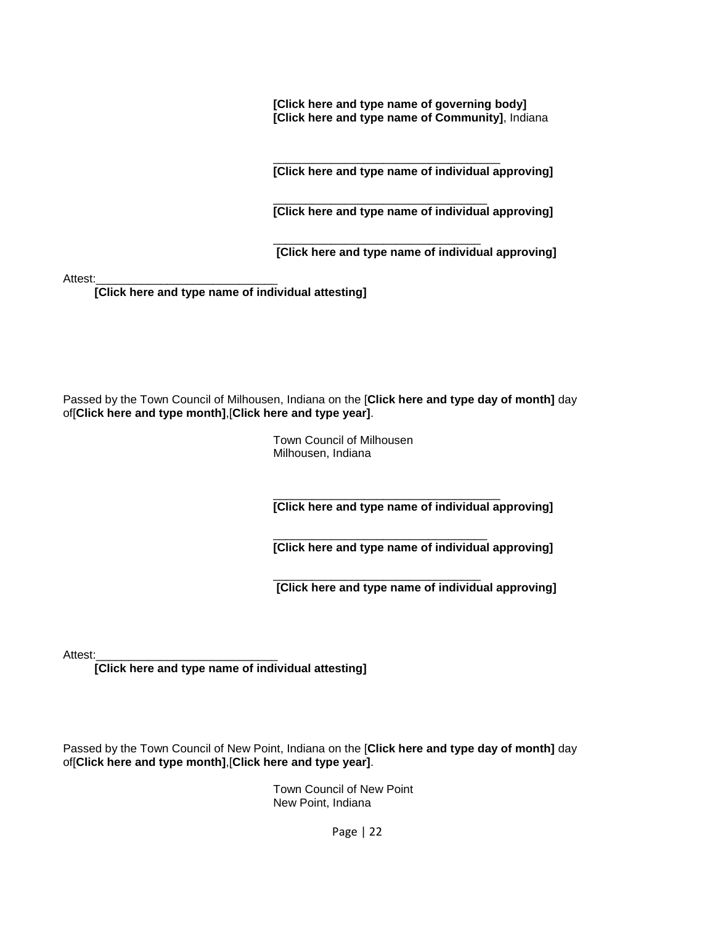**[Click here and type name of governing body] [Click here and type name of Community]**, Indiana

\_\_\_\_\_\_\_\_\_\_\_\_\_\_\_\_\_\_\_\_\_\_\_\_\_\_\_\_\_\_\_\_\_\_\_ **[Click here and type name of individual approving]**

\_\_\_\_\_\_\_\_\_\_\_\_\_\_\_\_\_\_\_\_\_\_\_\_\_\_\_\_\_\_\_\_\_ **[Click here and type name of individual approving]**

 $\frac{1}{\sqrt{2}}$  ,  $\frac{1}{\sqrt{2}}$  ,  $\frac{1}{\sqrt{2}}$  ,  $\frac{1}{\sqrt{2}}$  ,  $\frac{1}{\sqrt{2}}$  ,  $\frac{1}{\sqrt{2}}$  ,  $\frac{1}{\sqrt{2}}$  ,  $\frac{1}{\sqrt{2}}$  ,  $\frac{1}{\sqrt{2}}$  ,  $\frac{1}{\sqrt{2}}$  ,  $\frac{1}{\sqrt{2}}$  ,  $\frac{1}{\sqrt{2}}$  ,  $\frac{1}{\sqrt{2}}$  ,  $\frac{1}{\sqrt{2}}$  ,  $\frac{1}{\sqrt{2}}$ **[Click here and type name of individual approving]**

Attest:

**[Click here and type name of individual attesting]**

Passed by the Town Council of Milhousen, Indiana on the [**Click here and type day of month]** day of[**Click here and type month]**,[**Click here and type year]**.

> Town Council of Milhousen Milhousen, Indiana

\_\_\_\_\_\_\_\_\_\_\_\_\_\_\_\_\_\_\_\_\_\_\_\_\_\_\_\_\_\_\_\_\_\_\_ **[Click here and type name of individual approving]**

\_\_\_\_\_\_\_\_\_\_\_\_\_\_\_\_\_\_\_\_\_\_\_\_\_\_\_\_\_\_\_\_\_ **[Click here and type name of individual approving]**

 $\frac{1}{\sqrt{2}}$  ,  $\frac{1}{\sqrt{2}}$  ,  $\frac{1}{\sqrt{2}}$  ,  $\frac{1}{\sqrt{2}}$  ,  $\frac{1}{\sqrt{2}}$  ,  $\frac{1}{\sqrt{2}}$  ,  $\frac{1}{\sqrt{2}}$  ,  $\frac{1}{\sqrt{2}}$  ,  $\frac{1}{\sqrt{2}}$  ,  $\frac{1}{\sqrt{2}}$  ,  $\frac{1}{\sqrt{2}}$  ,  $\frac{1}{\sqrt{2}}$  ,  $\frac{1}{\sqrt{2}}$  ,  $\frac{1}{\sqrt{2}}$  ,  $\frac{1}{\sqrt{2}}$ **[Click here and type name of individual approving]**

Attest:

**[Click here and type name of individual attesting]**

Passed by the Town Council of New Point, Indiana on the [**Click here and type day of month]** day of[**Click here and type month]**,[**Click here and type year]**.

> Town Council of New Point New Point, Indiana

> > Page | 22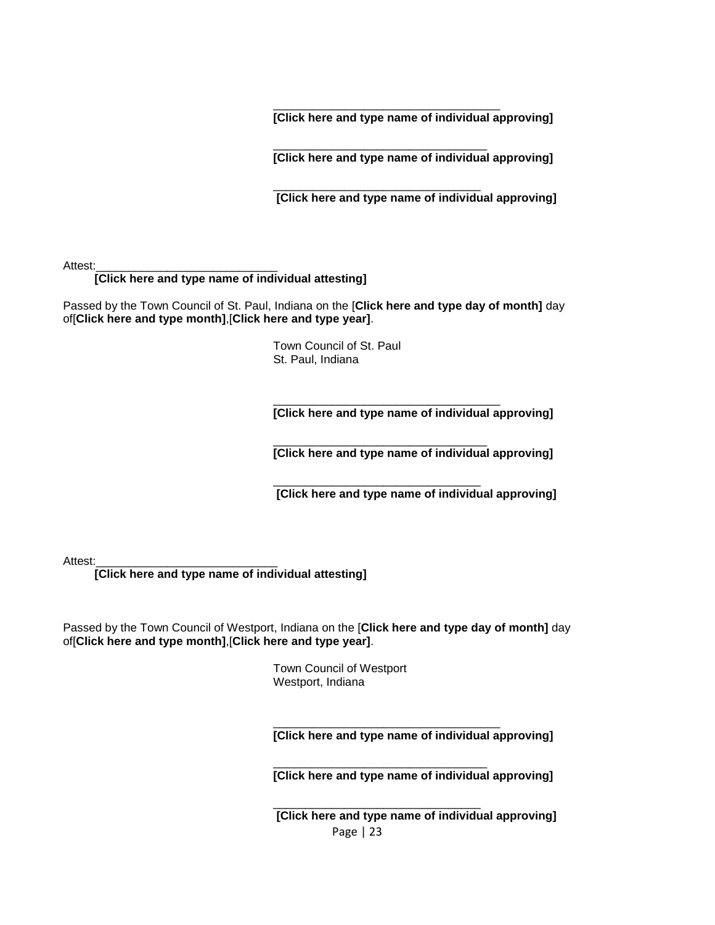\_\_\_\_\_\_\_\_\_\_\_\_\_\_\_\_\_\_\_\_\_\_\_\_\_\_\_\_\_\_\_\_\_\_\_ **[Click here and type name of individual approving]**

\_\_\_\_\_\_\_\_\_\_\_\_\_\_\_\_\_\_\_\_\_\_\_\_\_\_\_\_\_\_\_\_\_ **[Click here and type name of individual approving]**

 $\overline{\phantom{a}}$  , and the contract of the contract of the contract of the contract of the contract of the contract of the contract of the contract of the contract of the contract of the contract of the contract of the contrac **[Click here and type name of individual approving]**

Attest:

#### **[Click here and type name of individual attesting]**

Passed by the Town Council of St. Paul, Indiana on the [**Click here and type day of month]** day of[**Click here and type month]**,[**Click here and type year]**.

> Town Council of St. Paul St. Paul, Indiana

\_\_\_\_\_\_\_\_\_\_\_\_\_\_\_\_\_\_\_\_\_\_\_\_\_\_\_\_\_\_\_\_\_\_\_ **[Click here and type name of individual approving]**

\_\_\_\_\_\_\_\_\_\_\_\_\_\_\_\_\_\_\_\_\_\_\_\_\_\_\_\_\_\_\_\_\_ **[Click here and type name of individual approving]**

 $\overline{\phantom{a}}$  , and the contract of the contract of the contract of the contract of the contract of the contract of the contract of the contract of the contract of the contract of the contract of the contract of the contrac **[Click here and type name of individual approving]**

Attest:

**[Click here and type name of individual attesting]**

Passed by the Town Council of Westport, Indiana on the [**Click here and type day of month]** day of[**Click here and type month]**,[**Click here and type year]**.

> Town Council of Westport Westport, Indiana

**[Click here and type name of individual approving]**

\_\_\_\_\_\_\_\_\_\_\_\_\_\_\_\_\_\_\_\_\_\_\_\_\_\_\_\_\_\_\_\_\_\_\_

\_\_\_\_\_\_\_\_\_\_\_\_\_\_\_\_\_\_\_\_\_\_\_\_\_\_\_\_\_\_\_\_\_

**[Click here and type name of individual approving]**

Page | 23  $\overline{\phantom{a}}$  , and the contract of the contract of the contract of the contract of the contract of the contract of the contract of the contract of the contract of the contract of the contract of the contract of the contrac **[Click here and type name of individual approving]**